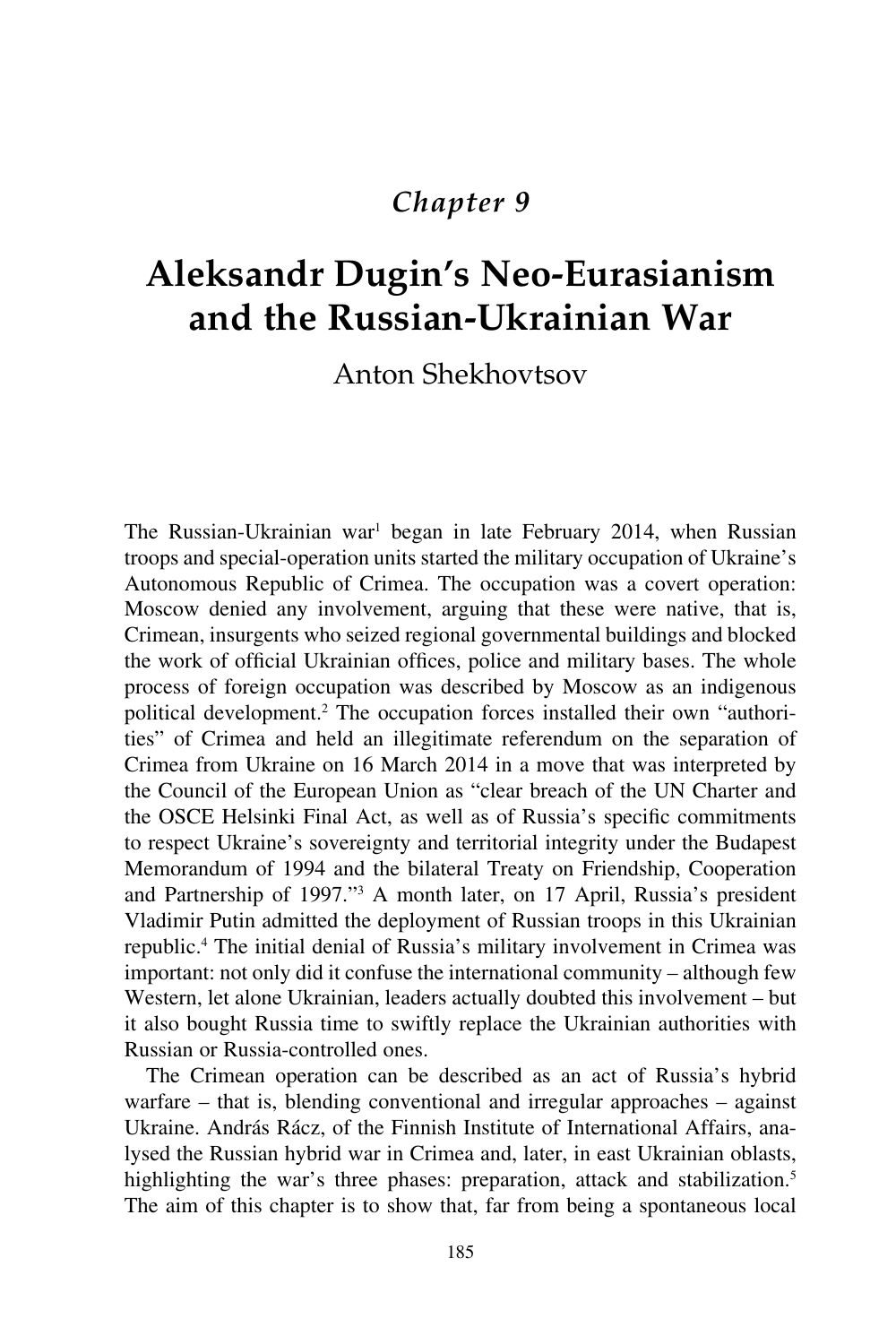# *Chapter 9*

# **Aleksandr Dugin's Neo-Eurasianism and the Russian-Ukrainian War**

Anton Shekhovtsov

The Russian-Ukrainian war<sup>1</sup> began in late February 2014, when Russian troops and special-operation units started the military occupation of Ukraine's Autonomous Republic of Crimea. The occupation was a covert operation: Moscow denied any involvement, arguing that these were native, that is, Crimean, insurgents who seized regional governmental buildings and blocked the work of official Ukrainian offices, police and military bases. The whole process of foreign occupation was described by Moscow as an indigenous political development.<sup>2</sup> The occupation forces installed their own "authorities" of Crimea and held an illegitimate referendum on the separation of Crimea from Ukraine on 16 March 2014 in a move that was interpreted by the Council of the European Union as "clear breach of the UN Charter and the OSCE Helsinki Final Act, as well as of Russia's specific commitments to respect Ukraine's sovereignty and territorial integrity under the Budapest Memorandum of 1994 and the bilateral Treaty on Friendship, Cooperation and Partnership of 1997."3 A month later, on 17 April, Russia's president Vladimir Putin admitted the deployment of Russian troops in this Ukrainian republic.4 The initial denial of Russia's military involvement in Crimea was important: not only did it confuse the international community – although few Western, let alone Ukrainian, leaders actually doubted this involvement – but it also bought Russia time to swiftly replace the Ukrainian authorities with Russian or Russia-controlled ones.

The Crimean operation can be described as an act of Russia's hybrid warfare – that is, blending conventional and irregular approaches – against Ukraine. András Rácz, of the Finnish Institute of International Affairs, analysed the Russian hybrid war in Crimea and, later, in east Ukrainian oblasts, highlighting the war's three phases: preparation, attack and stabilization.<sup>5</sup> The aim of this chapter is to show that, far from being a spontaneous local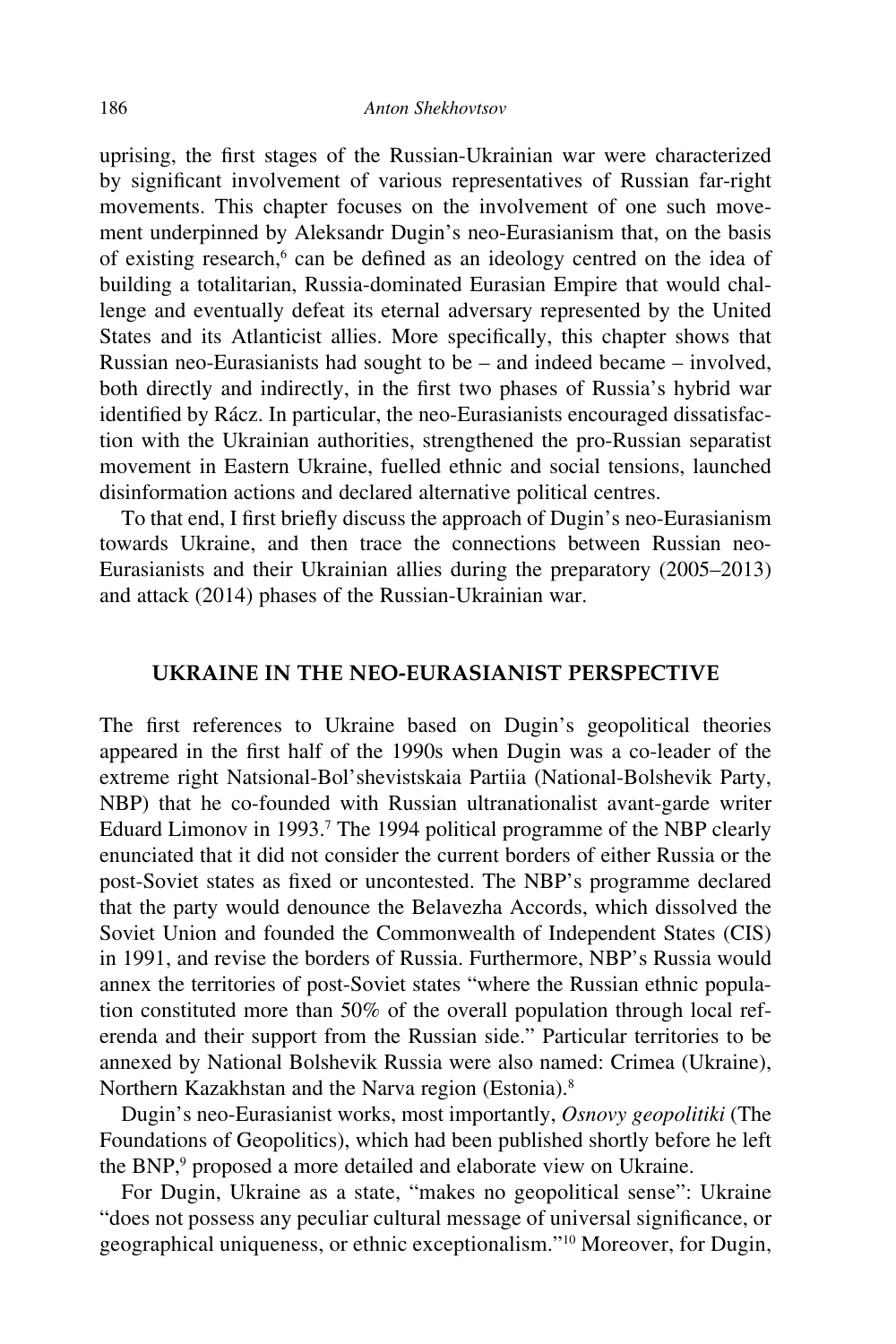uprising, the first stages of the Russian-Ukrainian war were characterized by significant involvement of various representatives of Russian far-right movements. This chapter focuses on the involvement of one such movement underpinned by Aleksandr Dugin's neo-Eurasianism that, on the basis of existing research,<sup>6</sup> can be defined as an ideology centred on the idea of building a totalitarian, Russia-dominated Eurasian Empire that would challenge and eventually defeat its eternal adversary represented by the United States and its Atlanticist allies. More specifically, this chapter shows that Russian neo-Eurasianists had sought to be – and indeed became – involved, both directly and indirectly, in the first two phases of Russia's hybrid war identified by Rácz. In particular, the neo-Eurasianists encouraged dissatisfaction with the Ukrainian authorities, strengthened the pro-Russian separatist movement in Eastern Ukraine, fuelled ethnic and social tensions, launched disinformation actions and declared alternative political centres.

To that end, I first briefly discuss the approach of Dugin's neo-Eurasianism towards Ukraine, and then trace the connections between Russian neo-Eurasianists and their Ukrainian allies during the preparatory (2005–2013) and attack (2014) phases of the Russian-Ukrainian war.

## **Ukraine in the Neo-Eurasianist Perspective**

The first references to Ukraine based on Dugin's geopolitical theories appeared in the first half of the 1990s when Dugin was a co-leader of the extreme right Natsional-Bol'shevistskaia Partiia (National-Bolshevik Party, NBP) that he co-founded with Russian ultranationalist avant-garde writer Eduard Limonov in 1993.<sup>7</sup> The 1994 political programme of the NBP clearly enunciated that it did not consider the current borders of either Russia or the post-Soviet states as fixed or uncontested. The NBP's programme declared that the party would denounce the Belavezha Accords, which dissolved the Soviet Union and founded the Commonwealth of Independent States (CIS) in 1991, and revise the borders of Russia. Furthermore, NBP's Russia would annex the territories of post-Soviet states "where the Russian ethnic population constituted more than 50% of the overall population through local referenda and their support from the Russian side." Particular territories to be annexed by National Bolshevik Russia were also named: Crimea (Ukraine), Northern Kazakhstan and the Narva region (Estonia).8

Dugin's neo-Eurasianist works, most importantly, *Osnovy geopolitiki* (The Foundations of Geopolitics), which had been published shortly before he left the BNP,<sup>9</sup> proposed a more detailed and elaborate view on Ukraine.

For Dugin, Ukraine as a state, "makes no geopolitical sense": Ukraine "does not possess any peculiar cultural message of universal significance, or geographical uniqueness, or ethnic exceptionalism."10 Moreover, for Dugin,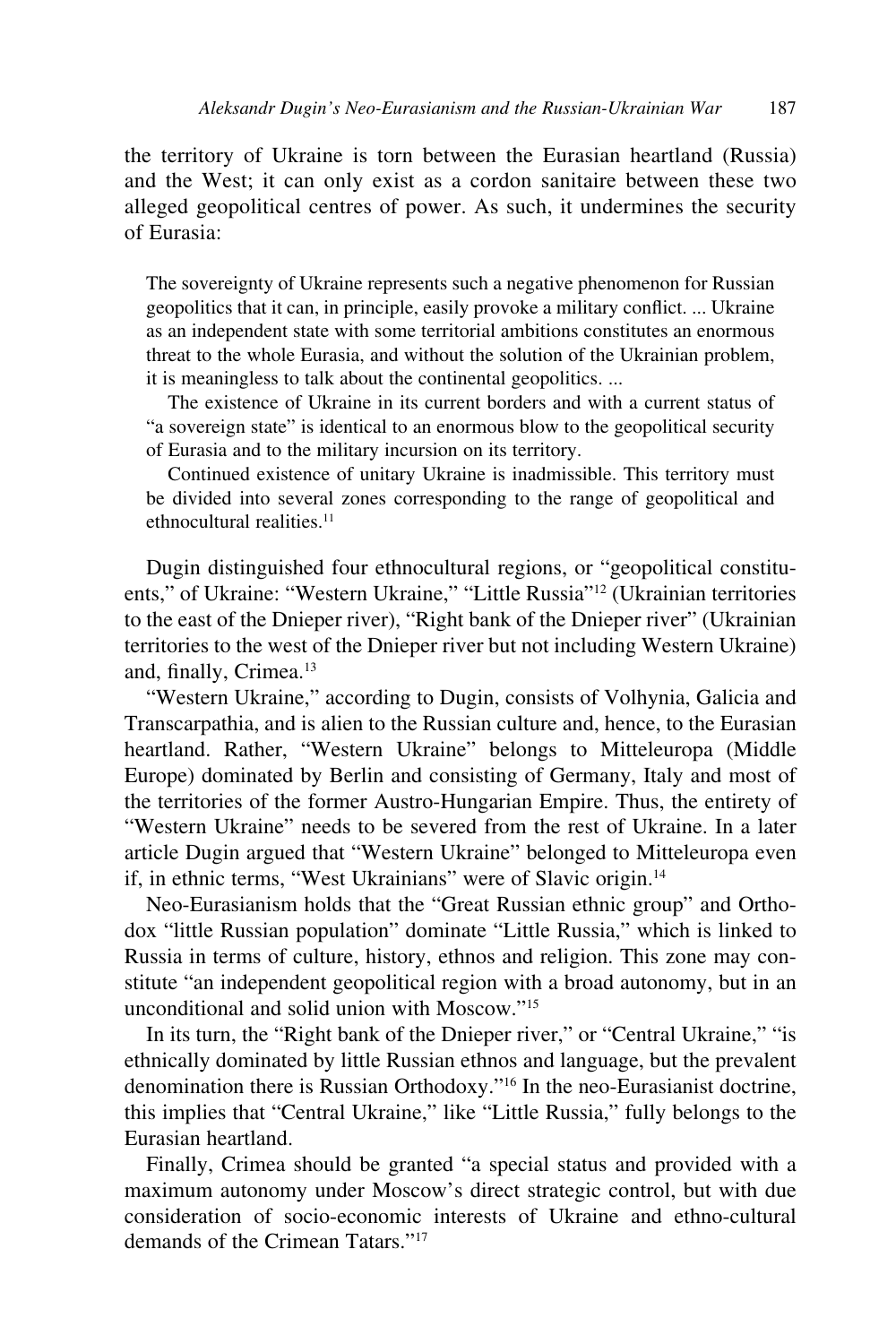the territory of Ukraine is torn between the Eurasian heartland (Russia) and the West; it can only exist as a cordon sanitaire between these two alleged geopolitical centres of power. As such, it undermines the security of Eurasia:

The sovereignty of Ukraine represents such a negative phenomenon for Russian geopolitics that it can, in principle, easily provoke a military conflict. ... Ukraine as an independent state with some territorial ambitions constitutes an enormous threat to the whole Eurasia, and without the solution of the Ukrainian problem, it is meaningless to talk about the continental geopolitics. ...

The existence of Ukraine in its current borders and with a current status of "a sovereign state" is identical to an enormous blow to the geopolitical security of Eurasia and to the military incursion on its territory.

Continued existence of unitary Ukraine is inadmissible. This territory must be divided into several zones corresponding to the range of geopolitical and ethnocultural realities.<sup>11</sup>

Dugin distinguished four ethnocultural regions, or "geopolitical constituents," of Ukraine: "Western Ukraine," "Little Russia"12 (Ukrainian territories to the east of the Dnieper river), "Right bank of the Dnieper river" (Ukrainian territories to the west of the Dnieper river but not including Western Ukraine) and, finally, Crimea.<sup>13</sup>

"Western Ukraine," according to Dugin, consists of Volhynia, Galicia and Transcarpathia, and is alien to the Russian culture and, hence, to the Eurasian heartland. Rather, "Western Ukraine" belongs to Mitteleuropa (Middle Europe) dominated by Berlin and consisting of Germany, Italy and most of the territories of the former Austro-Hungarian Empire. Thus, the entirety of "Western Ukraine" needs to be severed from the rest of Ukraine. In a later article Dugin argued that "Western Ukraine" belonged to Mitteleuropa even if, in ethnic terms, "West Ukrainians" were of Slavic origin.14

Neo-Eurasianism holds that the "Great Russian ethnic group" and Orthodox "little Russian population" dominate "Little Russia," which is linked to Russia in terms of culture, history, ethnos and religion. This zone may constitute "an independent geopolitical region with a broad autonomy, but in an unconditional and solid union with Moscow."15

In its turn, the "Right bank of the Dnieper river," or "Central Ukraine," "is ethnically dominated by little Russian ethnos and language, but the prevalent denomination there is Russian Orthodoxy."16 In the neo-Eurasianist doctrine, this implies that "Central Ukraine," like "Little Russia," fully belongs to the Eurasian heartland.

Finally, Crimea should be granted "a special status and provided with a maximum autonomy under Moscow's direct strategic control, but with due consideration of socio-economic interests of Ukraine and ethno-cultural demands of the Crimean Tatars."17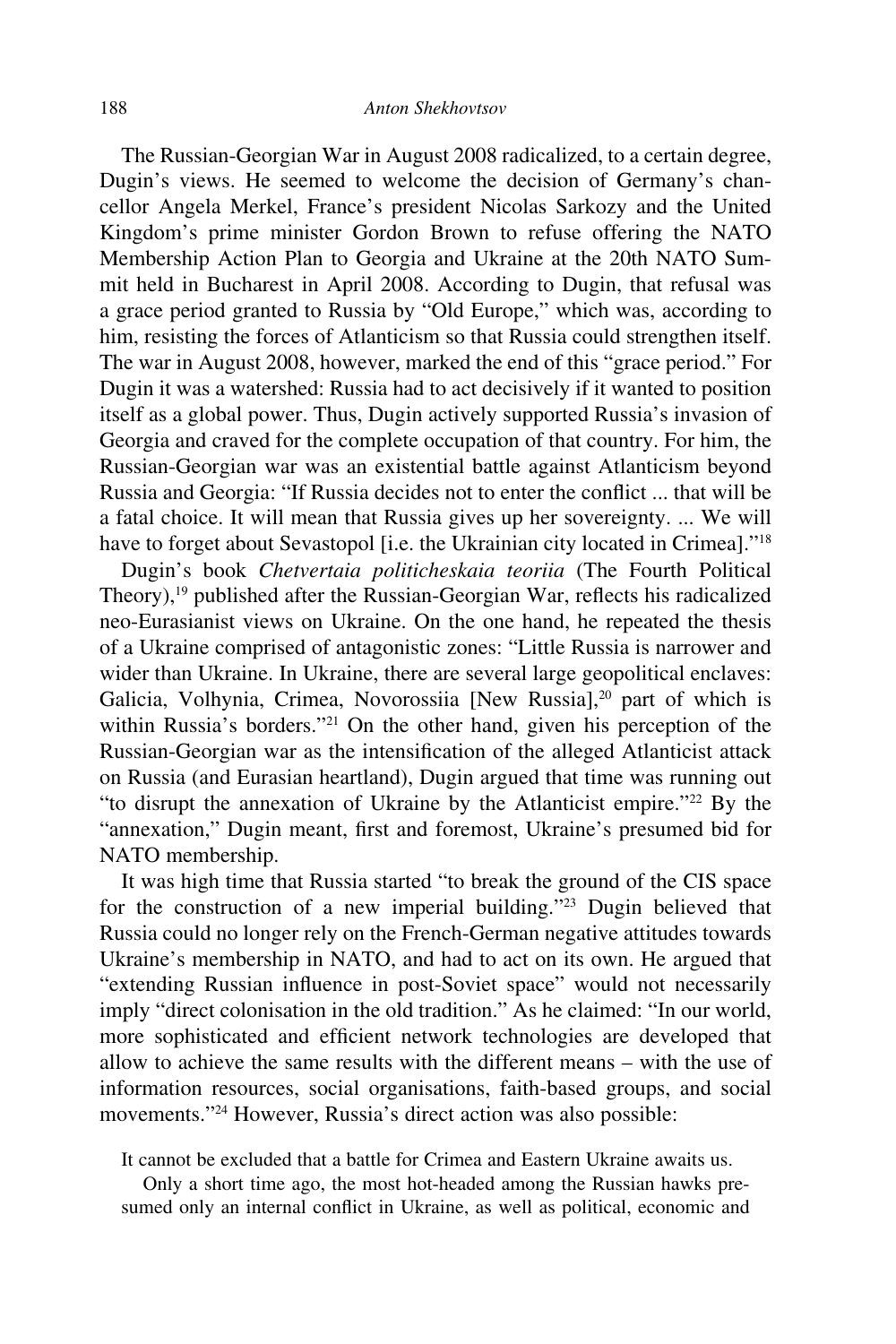The Russian-Georgian War in August 2008 radicalized, to a certain degree, Dugin's views. He seemed to welcome the decision of Germany's chancellor Angela Merkel, France's president Nicolas Sarkozy and the United Kingdom's prime minister Gordon Brown to refuse offering the NATO Membership Action Plan to Georgia and Ukraine at the 20th NATO Summit held in Bucharest in April 2008. According to Dugin, that refusal was a grace period granted to Russia by "Old Europe," which was, according to him, resisting the forces of Atlanticism so that Russia could strengthen itself. The war in August 2008, however, marked the end of this "grace period." For Dugin it was a watershed: Russia had to act decisively if it wanted to position itself as a global power. Thus, Dugin actively supported Russia's invasion of Georgia and craved for the complete occupation of that country. For him, the Russian-Georgian war was an existential battle against Atlanticism beyond Russia and Georgia: "If Russia decides not to enter the conflict ... that will be a fatal choice. It will mean that Russia gives up her sovereignty. ... We will have to forget about Sevastopol [i.e. the Ukrainian city located in Crimea]."<sup>18</sup>

Dugin's book *Chetvertaia politicheskaia teoriia* (The Fourth Political Theory),<sup>19</sup> published after the Russian-Georgian War, reflects his radicalized neo-Eurasianist views on Ukraine. On the one hand, he repeated the thesis of a Ukraine comprised of antagonistic zones: "Little Russia is narrower and wider than Ukraine. In Ukraine, there are several large geopolitical enclaves: Galicia, Volhynia, Crimea, Novorossiia [New Russia],<sup>20</sup> part of which is within Russia's borders."<sup>21</sup> On the other hand, given his perception of the Russian-Georgian war as the intensification of the alleged Atlanticist attack on Russia (and Eurasian heartland), Dugin argued that time was running out "to disrupt the annexation of Ukraine by the Atlanticist empire."22 By the "annexation," Dugin meant, first and foremost, Ukraine's presumed bid for NATO membership.

It was high time that Russia started "to break the ground of the CIS space for the construction of a new imperial building."23 Dugin believed that Russia could no longer rely on the French-German negative attitudes towards Ukraine's membership in NATO, and had to act on its own. He argued that "extending Russian influence in post-Soviet space" would not necessarily imply "direct colonisation in the old tradition." As he claimed: "In our world, more sophisticated and efficient network technologies are developed that allow to achieve the same results with the different means – with the use of information resources, social organisations, faith-based groups, and social movements."24 However, Russia's direct action was also possible:

It cannot be excluded that a battle for Crimea and Eastern Ukraine awaits us.

Only a short time ago, the most hot-headed among the Russian hawks presumed only an internal conflict in Ukraine, as well as political, economic and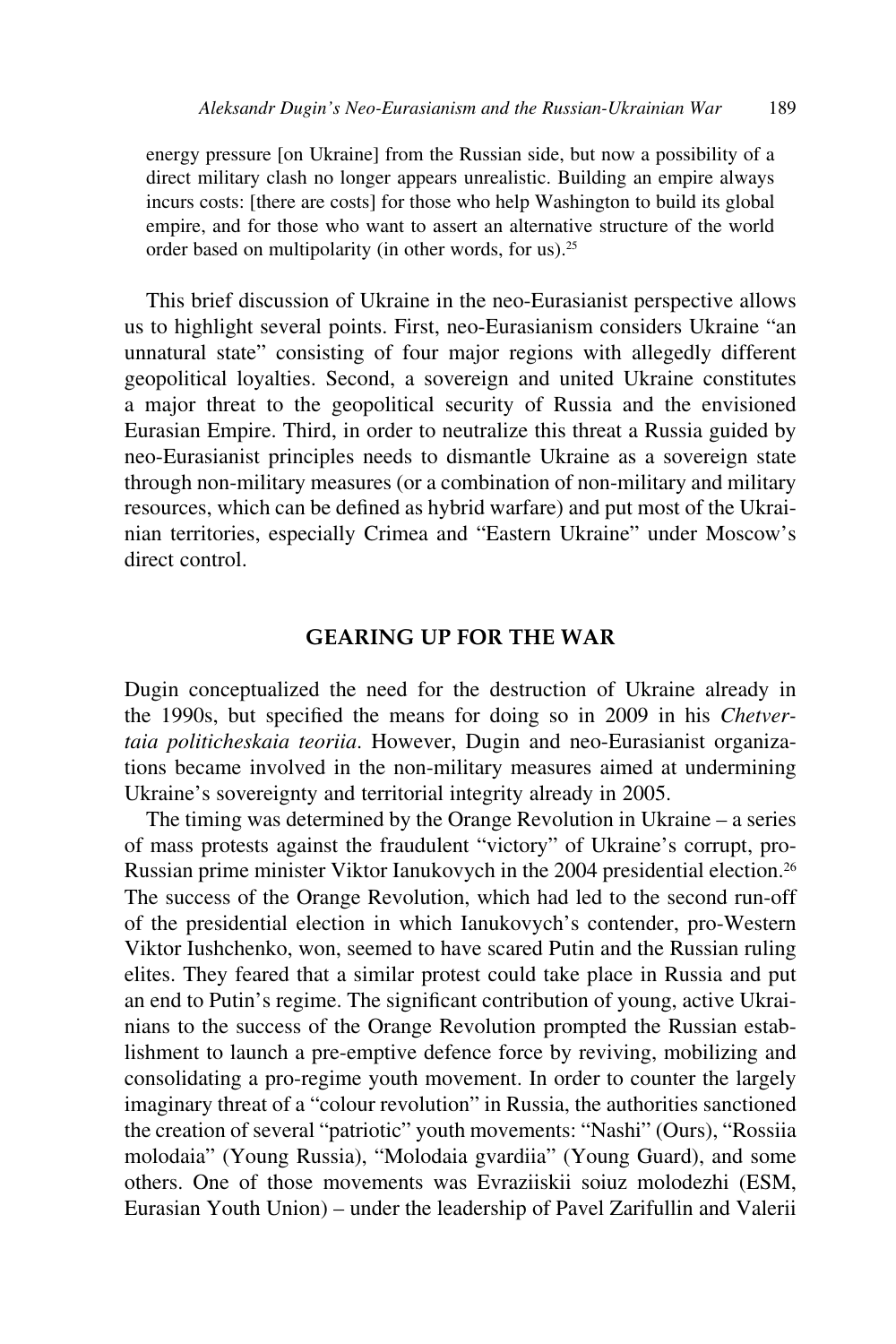energy pressure [on Ukraine] from the Russian side, but now a possibility of a direct military clash no longer appears unrealistic. Building an empire always incurs costs: [there are costs] for those who help Washington to build its global empire, and for those who want to assert an alternative structure of the world order based on multipolarity (in other words, for us).25

This brief discussion of Ukraine in the neo-Eurasianist perspective allows us to highlight several points. First, neo-Eurasianism considers Ukraine "an unnatural state" consisting of four major regions with allegedly different geopolitical loyalties. Second, a sovereign and united Ukraine constitutes a major threat to the geopolitical security of Russia and the envisioned Eurasian Empire. Third, in order to neutralize this threat a Russia guided by neo-Eurasianist principles needs to dismantle Ukraine as a sovereign state through non-military measures (or a combination of non-military and military resources, which can be defined as hybrid warfare) and put most of the Ukrainian territories, especially Crimea and "Eastern Ukraine" under Moscow's direct control.

#### **Gearing up for the war**

Dugin conceptualized the need for the destruction of Ukraine already in the 1990s, but specified the means for doing so in 2009 in his *Chetvertaia politicheskaia teoriia*. However, Dugin and neo-Eurasianist organizations became involved in the non-military measures aimed at undermining Ukraine's sovereignty and territorial integrity already in 2005.

The timing was determined by the Orange Revolution in Ukraine – a series of mass protests against the fraudulent "victory" of Ukraine's corrupt, pro-Russian prime minister Viktor Ianukovych in the 2004 presidential election.<sup>26</sup> The success of the Orange Revolution, which had led to the second run-off of the presidential election in which Ianukovych's contender, pro-Western Viktor Iushchenko, won, seemed to have scared Putin and the Russian ruling elites. They feared that a similar protest could take place in Russia and put an end to Putin's regime. The significant contribution of young, active Ukrainians to the success of the Orange Revolution prompted the Russian establishment to launch a pre-emptive defence force by reviving, mobilizing and consolidating a pro-regime youth movement. In order to counter the largely imaginary threat of a "colour revolution" in Russia, the authorities sanctioned the creation of several "patriotic" youth movements: "Nashi" (Ours), "Rossiia molodaia" (Young Russia), "Molodaia gvardiia" (Young Guard), and some others. One of those movements was Evraziiskii soiuz molodezhi (ESM, Eurasian Youth Union) – under the leadership of Pavel Zarifullin and Valerii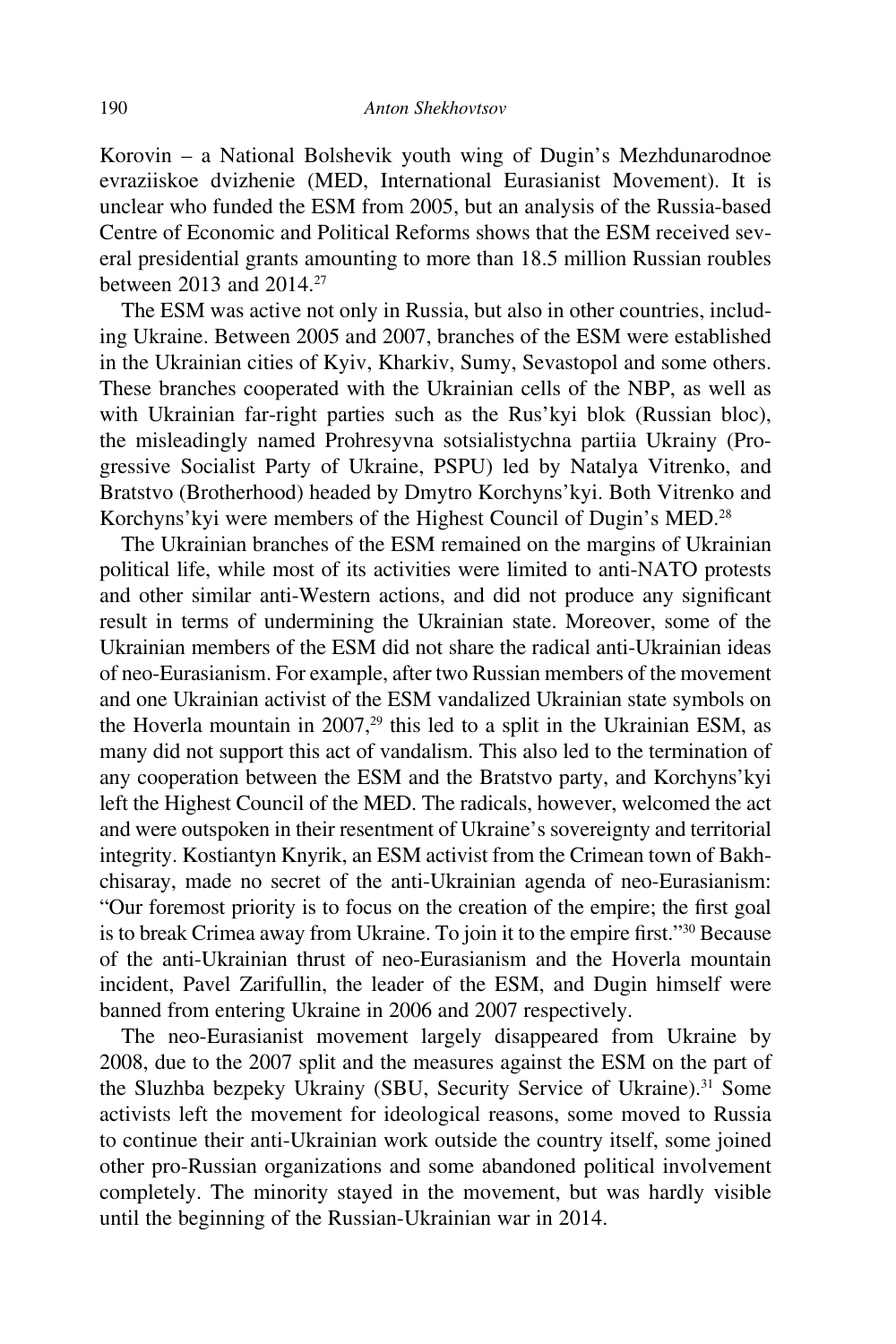Korovin – a National Bolshevik youth wing of Dugin's Mezhdunarodnoe evraziiskoe dvizhenie (MED, International Eurasianist Movement). It is unclear who funded the ESM from 2005, but an analysis of the Russia-based Centre of Economic and Political Reforms shows that the ESM received several presidential grants amounting to more than 18.5 million Russian roubles between 2013 and 2014.27

The ESM was active not only in Russia, but also in other countries, including Ukraine. Between 2005 and 2007, branches of the ESM were established in the Ukrainian cities of Kyiv, Kharkiv, Sumy, Sevastopol and some others. These branches cooperated with the Ukrainian cells of the NBP, as well as with Ukrainian far-right parties such as the Rus'kyi blok (Russian bloc), the misleadingly named Prohresyvna sotsialistychna partiia Ukrainy (Progressive Socialist Party of Ukraine, PSPU) led by Natalya Vitrenko, and Bratstvo (Brotherhood) headed by Dmytro Korchyns'kyi. Both Vitrenko and Korchyns'kyi were members of the Highest Council of Dugin's MED.28

The Ukrainian branches of the ESM remained on the margins of Ukrainian political life, while most of its activities were limited to anti-NATO protests and other similar anti-Western actions, and did not produce any significant result in terms of undermining the Ukrainian state. Moreover, some of the Ukrainian members of the ESM did not share the radical anti-Ukrainian ideas of neo-Eurasianism. For example, after two Russian members of the movement and one Ukrainian activist of the ESM vandalized Ukrainian state symbols on the Hoverla mountain in  $2007$ ,<sup>29</sup> this led to a split in the Ukrainian ESM, as many did not support this act of vandalism. This also led to the termination of any cooperation between the ESM and the Bratstvo party, and Korchyns'kyi left the Highest Council of the MED. The radicals, however, welcomed the act and were outspoken in their resentment of Ukraine's sovereignty and territorial integrity. Kostiantyn Knyrik, an ESM activist from the Crimean town of Bakhchisaray, made no secret of the anti-Ukrainian agenda of neo-Eurasianism: "Our foremost priority is to focus on the creation of the empire; the first goal is to break Crimea away from Ukraine. To join it to the empire first."30 Because of the anti-Ukrainian thrust of neo-Eurasianism and the Hoverla mountain incident, Pavel Zarifullin, the leader of the ESM, and Dugin himself were banned from entering Ukraine in 2006 and 2007 respectively.

The neo-Eurasianist movement largely disappeared from Ukraine by 2008, due to the 2007 split and the measures against the ESM on the part of the Sluzhba bezpeky Ukrainy (SBU, Security Service of Ukraine).<sup>31</sup> Some activists left the movement for ideological reasons, some moved to Russia to continue their anti-Ukrainian work outside the country itself, some joined other pro-Russian organizations and some abandoned political involvement completely. The minority stayed in the movement, but was hardly visible until the beginning of the Russian-Ukrainian war in 2014.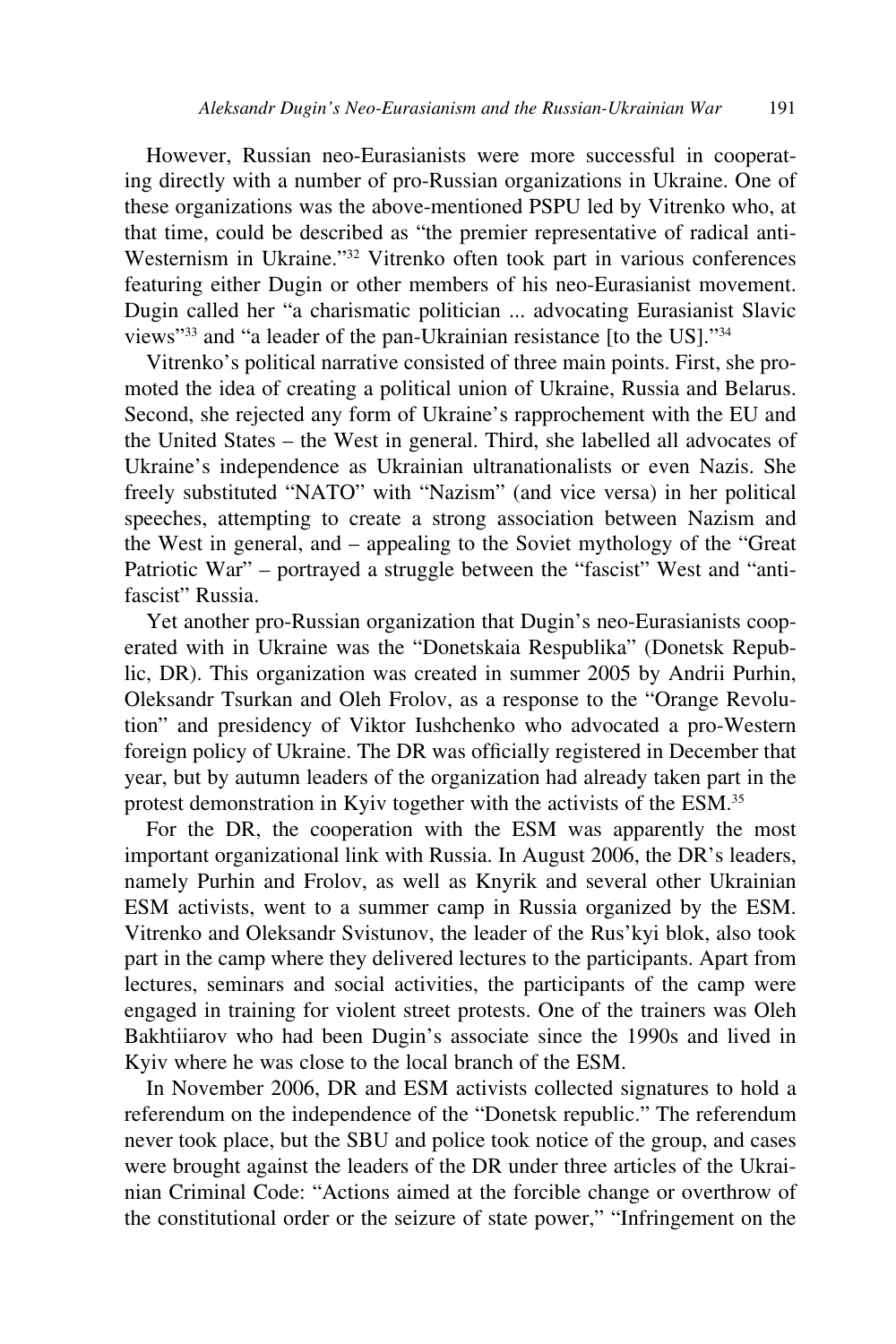However, Russian neo-Eurasianists were more successful in cooperating directly with a number of pro-Russian organizations in Ukraine. One of these organizations was the above-mentioned PSPU led by Vitrenko who, at that time, could be described as "the premier representative of radical anti-Westernism in Ukraine."32 Vitrenko often took part in various conferences featuring either Dugin or other members of his neo-Eurasianist movement. Dugin called her "a charismatic politician ... advocating Eurasianist Slavic views"33 and "a leader of the pan-Ukrainian resistance [to the US]."34

Vitrenko's political narrative consisted of three main points. First, she promoted the idea of creating a political union of Ukraine, Russia and Belarus. Second, she rejected any form of Ukraine's rapprochement with the EU and the United States – the West in general. Third, she labelled all advocates of Ukraine's independence as Ukrainian ultranationalists or even Nazis. She freely substituted "NATO" with "Nazism" (and vice versa) in her political speeches, attempting to create a strong association between Nazism and the West in general, and – appealing to the Soviet mythology of the "Great Patriotic War" – portrayed a struggle between the "fascist" West and "antifascist" Russia.

Yet another pro-Russian organization that Dugin's neo-Eurasianists cooperated with in Ukraine was the "Donetskaia Respublika" (Donetsk Republic, DR). This organization was created in summer 2005 by Andrii Purhin, Oleksandr Tsurkan and Oleh Frolov, as a response to the "Orange Revolution" and presidency of Viktor Iushchenko who advocated a pro-Western foreign policy of Ukraine. The DR was officially registered in December that year, but by autumn leaders of the organization had already taken part in the protest demonstration in Kyiv together with the activists of the ESM.35

For the DR, the cooperation with the ESM was apparently the most important organizational link with Russia. In August 2006, the DR's leaders, namely Purhin and Frolov, as well as Knyrik and several other Ukrainian ESM activists, went to a summer camp in Russia organized by the ESM. Vitrenko and Oleksandr Svistunov, the leader of the Rus'kyi blok, also took part in the camp where they delivered lectures to the participants. Apart from lectures, seminars and social activities, the participants of the camp were engaged in training for violent street protests. One of the trainers was Oleh Bakhtiiarov who had been Dugin's associate since the 1990s and lived in Kyiv where he was close to the local branch of the ESM.

In November 2006, DR and ESM activists collected signatures to hold a referendum on the independence of the "Donetsk republic." The referendum never took place, but the SBU and police took notice of the group, and cases were brought against the leaders of the DR under three articles of the Ukrainian Criminal Code: "Actions aimed at the forcible change or overthrow of the constitutional order or the seizure of state power," "Infringement on the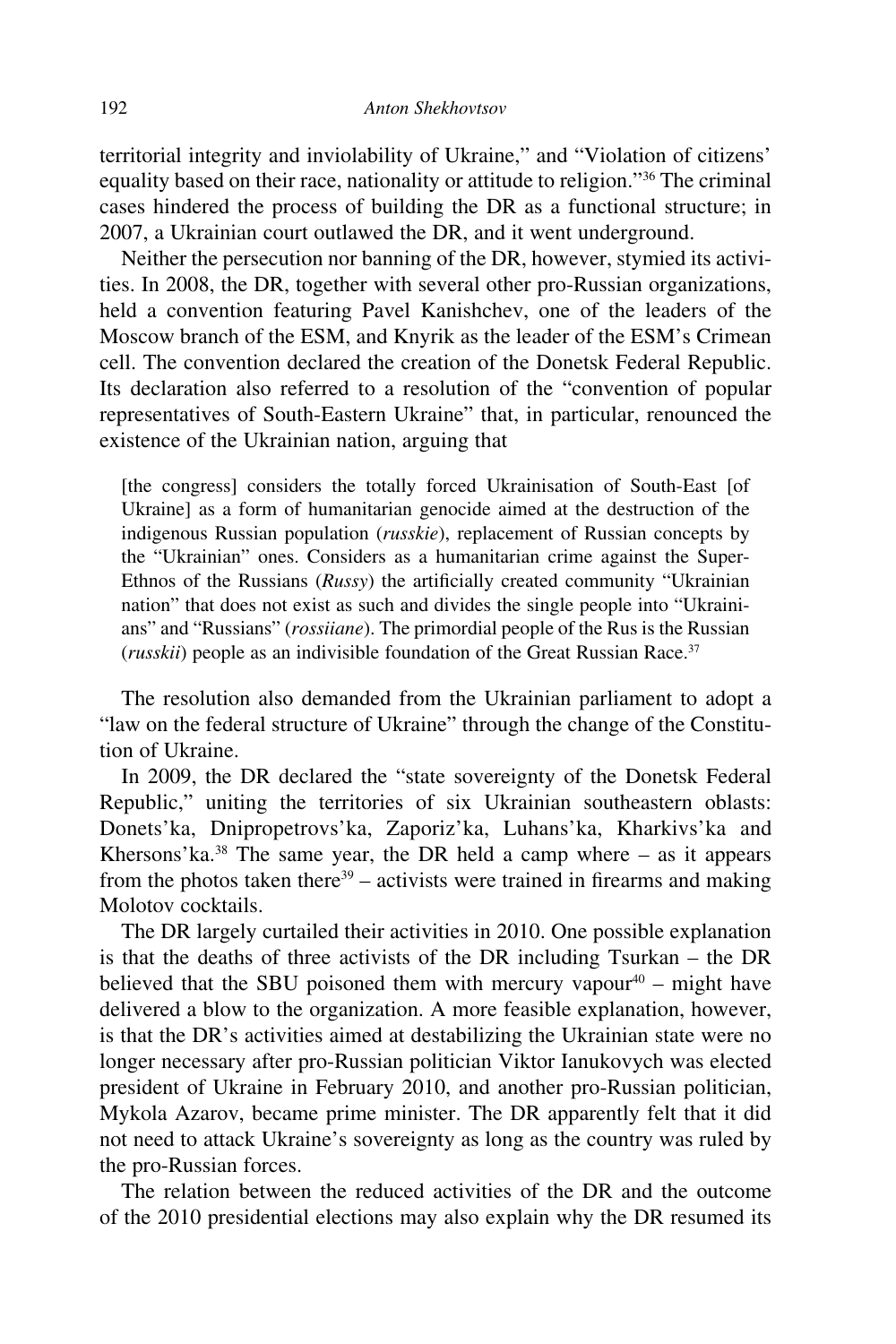territorial integrity and inviolability of Ukraine," and "Violation of citizens' equality based on their race, nationality or attitude to religion."36 The criminal cases hindered the process of building the DR as a functional structure; in 2007, a Ukrainian court outlawed the DR, and it went underground.

Neither the persecution nor banning of the DR, however, stymied its activities. In 2008, the DR, together with several other pro-Russian organizations, held a convention featuring Pavel Kanishchev, one of the leaders of the Moscow branch of the ESM, and Knyrik as the leader of the ESM's Crimean cell. The convention declared the creation of the Donetsk Federal Republic. Its declaration also referred to a resolution of the "convention of popular representatives of South-Eastern Ukraine" that, in particular, renounced the existence of the Ukrainian nation, arguing that

[the congress] considers the totally forced Ukrainisation of South-East [of Ukraine] as a form of humanitarian genocide aimed at the destruction of the indigenous Russian population (*russkie*), replacement of Russian concepts by the "Ukrainian" ones. Considers as a humanitarian crime against the Super-Ethnos of the Russians (*Russy*) the artificially created community "Ukrainian nation" that does not exist as such and divides the single people into "Ukrainians" and "Russians" (*rossiiane*). The primordial people of the Rus is the Russian (*russkii*) people as an indivisible foundation of the Great Russian Race.37

The resolution also demanded from the Ukrainian parliament to adopt a "law on the federal structure of Ukraine" through the change of the Constitution of Ukraine.

In 2009, the DR declared the "state sovereignty of the Donetsk Federal Republic," uniting the territories of six Ukrainian southeastern oblasts: Donets'ka, Dnipropetrovs'ka, Zaporiz'ka, Luhans'ka, Kharkivs'ka and Khersons'ka.<sup>38</sup> The same year, the DR held a camp where  $-$  as it appears from the photos taken there<sup>39</sup> – activists were trained in firearms and making Molotov cocktails.

The DR largely curtailed their activities in 2010. One possible explanation is that the deaths of three activists of the DR including Tsurkan – the DR believed that the SBU poisoned them with mercury vapour<sup>40</sup> – might have delivered a blow to the organization. A more feasible explanation, however, is that the DR's activities aimed at destabilizing the Ukrainian state were no longer necessary after pro-Russian politician Viktor Ianukovych was elected president of Ukraine in February 2010, and another pro-Russian politician, Mykola Azarov, became prime minister. The DR apparently felt that it did not need to attack Ukraine's sovereignty as long as the country was ruled by the pro-Russian forces.

The relation between the reduced activities of the DR and the outcome of the 2010 presidential elections may also explain why the DR resumed its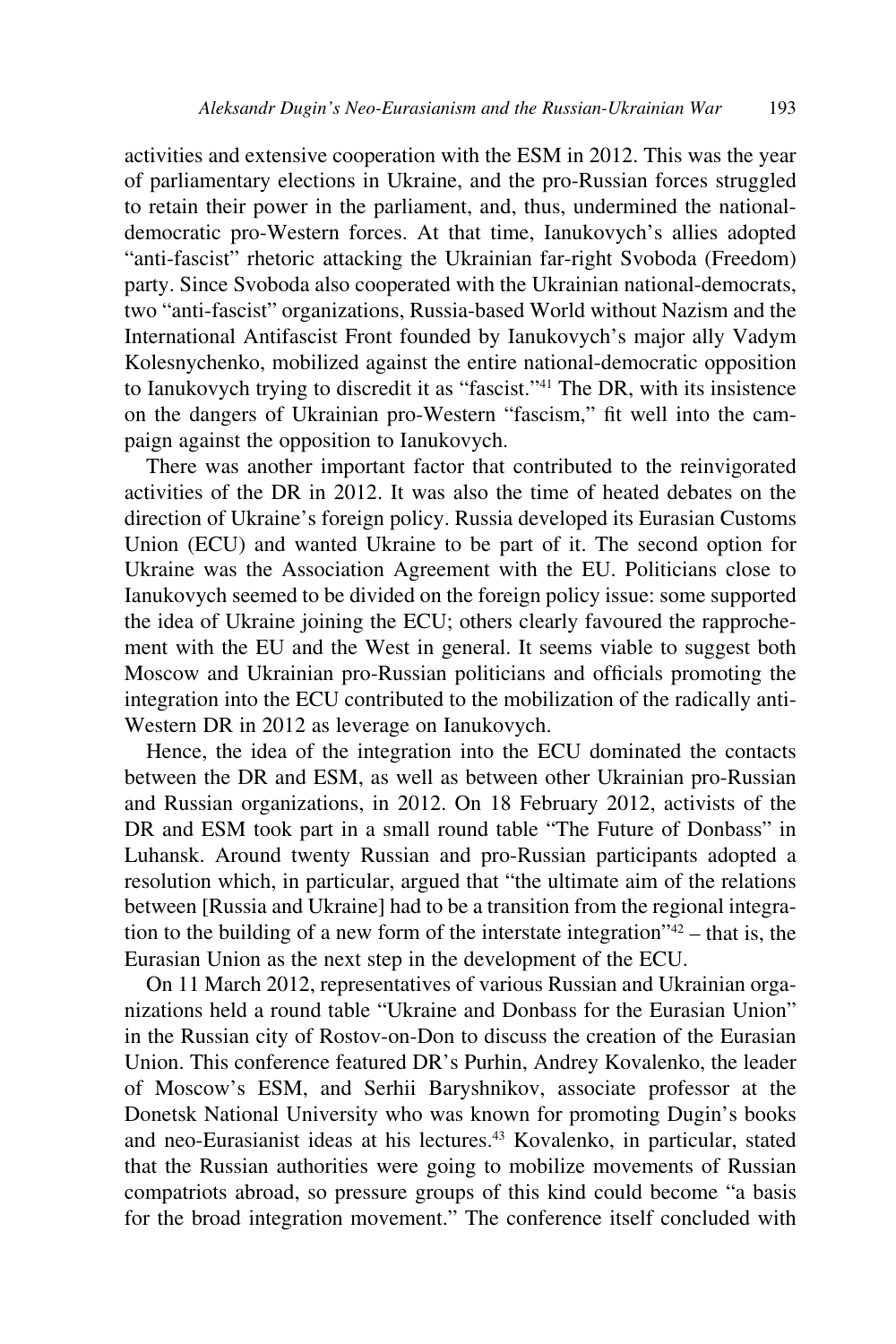activities and extensive cooperation with the ESM in 2012. This was the year of parliamentary elections in Ukraine, and the pro-Russian forces struggled to retain their power in the parliament, and, thus, undermined the nationaldemocratic pro-Western forces. At that time, Ianukovych's allies adopted "anti-fascist" rhetoric attacking the Ukrainian far-right Svoboda (Freedom) party. Since Svoboda also cooperated with the Ukrainian national-democrats, two "anti-fascist" organizations, Russia-based World without Nazism and the International Antifascist Front founded by Ianukovych's major ally Vadym Kolesnychenko, mobilized against the entire national-democratic opposition to Ianukovych trying to discredit it as "fascist."41 The DR, with its insistence on the dangers of Ukrainian pro-Western "fascism," fit well into the campaign against the opposition to Ianukovych.

There was another important factor that contributed to the reinvigorated activities of the DR in 2012. It was also the time of heated debates on the direction of Ukraine's foreign policy. Russia developed its Eurasian Customs Union (ECU) and wanted Ukraine to be part of it. The second option for Ukraine was the Association Agreement with the EU. Politicians close to Ianukovych seemed to be divided on the foreign policy issue: some supported the idea of Ukraine joining the ECU; others clearly favoured the rapprochement with the EU and the West in general. It seems viable to suggest both Moscow and Ukrainian pro-Russian politicians and officials promoting the integration into the ECU contributed to the mobilization of the radically anti-Western DR in 2012 as leverage on Ianukovych.

Hence, the idea of the integration into the ECU dominated the contacts between the DR and ESM, as well as between other Ukrainian pro-Russian and Russian organizations, in 2012. On 18 February 2012, activists of the DR and ESM took part in a small round table "The Future of Donbass" in Luhansk. Around twenty Russian and pro-Russian participants adopted a resolution which, in particular, argued that "the ultimate aim of the relations between [Russia and Ukraine] had to be a transition from the regional integration to the building of a new form of the interstate integration" $42$  – that is, the Eurasian Union as the next step in the development of the ECU.

On 11 March 2012, representatives of various Russian and Ukrainian organizations held a round table "Ukraine and Donbass for the Eurasian Union" in the Russian city of Rostov-on-Don to discuss the creation of the Eurasian Union. This conference featured DR's Purhin, Andrey Kovalenko, the leader of Moscow's ESM, and Serhii Baryshnikov, associate professor at the Donetsk National University who was known for promoting Dugin's books and neo-Eurasianist ideas at his lectures.<sup>43</sup> Kovalenko, in particular, stated that the Russian authorities were going to mobilize movements of Russian compatriots abroad, so pressure groups of this kind could become "a basis for the broad integration movement." The conference itself concluded with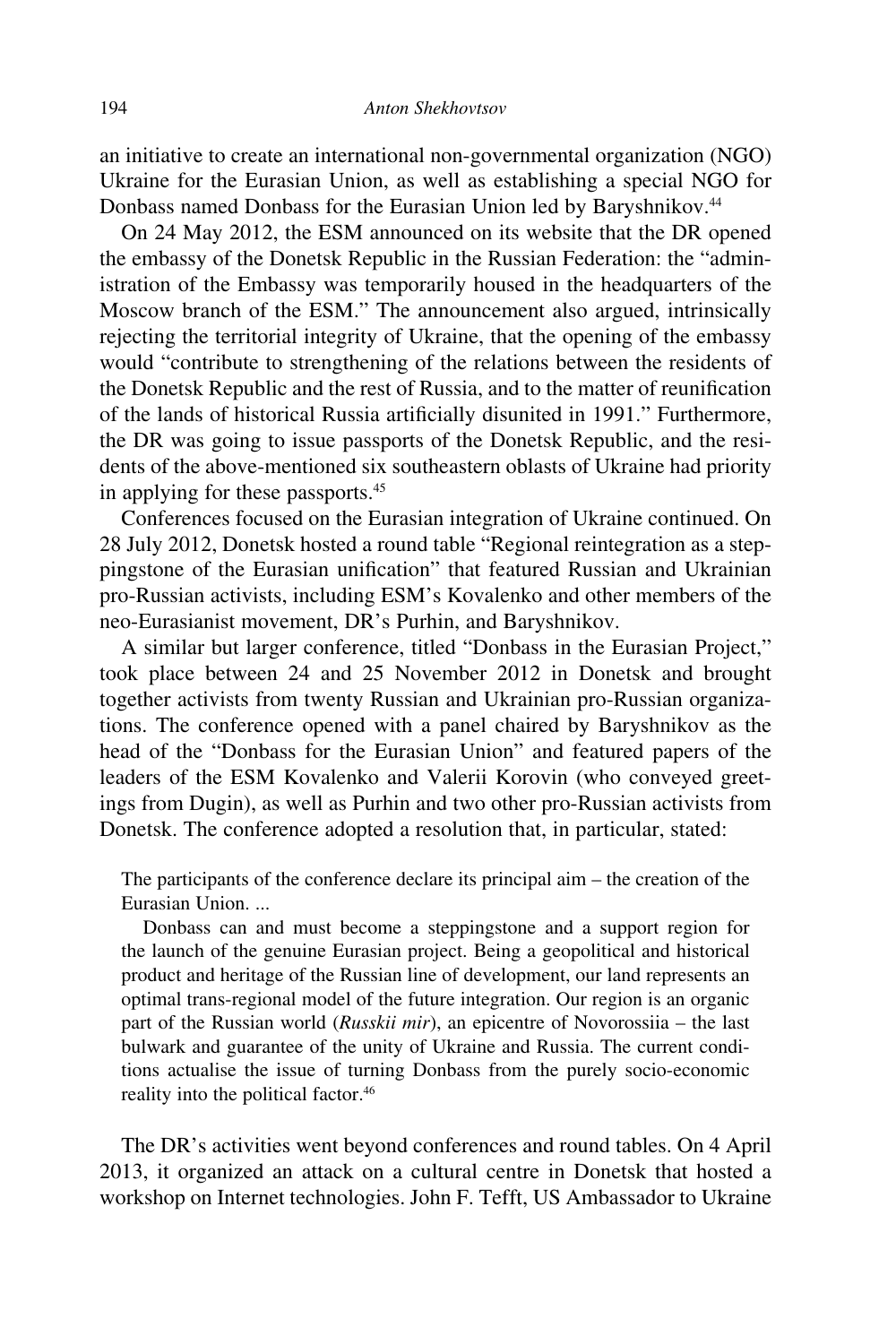an initiative to create an international non-governmental organization (NGO) Ukraine for the Eurasian Union, as well as establishing a special NGO for Donbass named Donbass for the Eurasian Union led by Baryshnikov.44

On 24 May 2012, the ESM announced on its website that the DR opened the embassy of the Donetsk Republic in the Russian Federation: the "administration of the Embassy was temporarily housed in the headquarters of the Moscow branch of the ESM." The announcement also argued, intrinsically rejecting the territorial integrity of Ukraine, that the opening of the embassy would "contribute to strengthening of the relations between the residents of the Donetsk Republic and the rest of Russia, and to the matter of reunification of the lands of historical Russia artificially disunited in 1991." Furthermore, the DR was going to issue passports of the Donetsk Republic, and the residents of the above-mentioned six southeastern oblasts of Ukraine had priority in applying for these passports.45

Conferences focused on the Eurasian integration of Ukraine continued. On 28 July 2012, Donetsk hosted a round table "Regional reintegration as a steppingstone of the Eurasian unification" that featured Russian and Ukrainian pro-Russian activists, including ESM's Kovalenko and other members of the neo-Eurasianist movement, DR's Purhin, and Baryshnikov.

A similar but larger conference, titled "Donbass in the Eurasian Project," took place between 24 and 25 November 2012 in Donetsk and brought together activists from twenty Russian and Ukrainian pro-Russian organizations. The conference opened with a panel chaired by Baryshnikov as the head of the "Donbass for the Eurasian Union" and featured papers of the leaders of the ESM Kovalenko and Valerii Korovin (who conveyed greetings from Dugin), as well as Purhin and two other pro-Russian activists from Donetsk. The conference adopted a resolution that, in particular, stated:

The participants of the conference declare its principal aim – the creation of the Eurasian Union. ...

Donbass can and must become a steppingstone and a support region for the launch of the genuine Eurasian project. Being a geopolitical and historical product and heritage of the Russian line of development, our land represents an optimal trans-regional model of the future integration. Our region is an organic part of the Russian world (*Russkii mir*), an epicentre of Novorossiia – the last bulwark and guarantee of the unity of Ukraine and Russia. The current conditions actualise the issue of turning Donbass from the purely socio-economic reality into the political factor.<sup>46</sup>

The DR's activities went beyond conferences and round tables. On 4 April 2013, it organized an attack on a cultural centre in Donetsk that hosted a workshop on Internet technologies. John F. Tefft, US Ambassador to Ukraine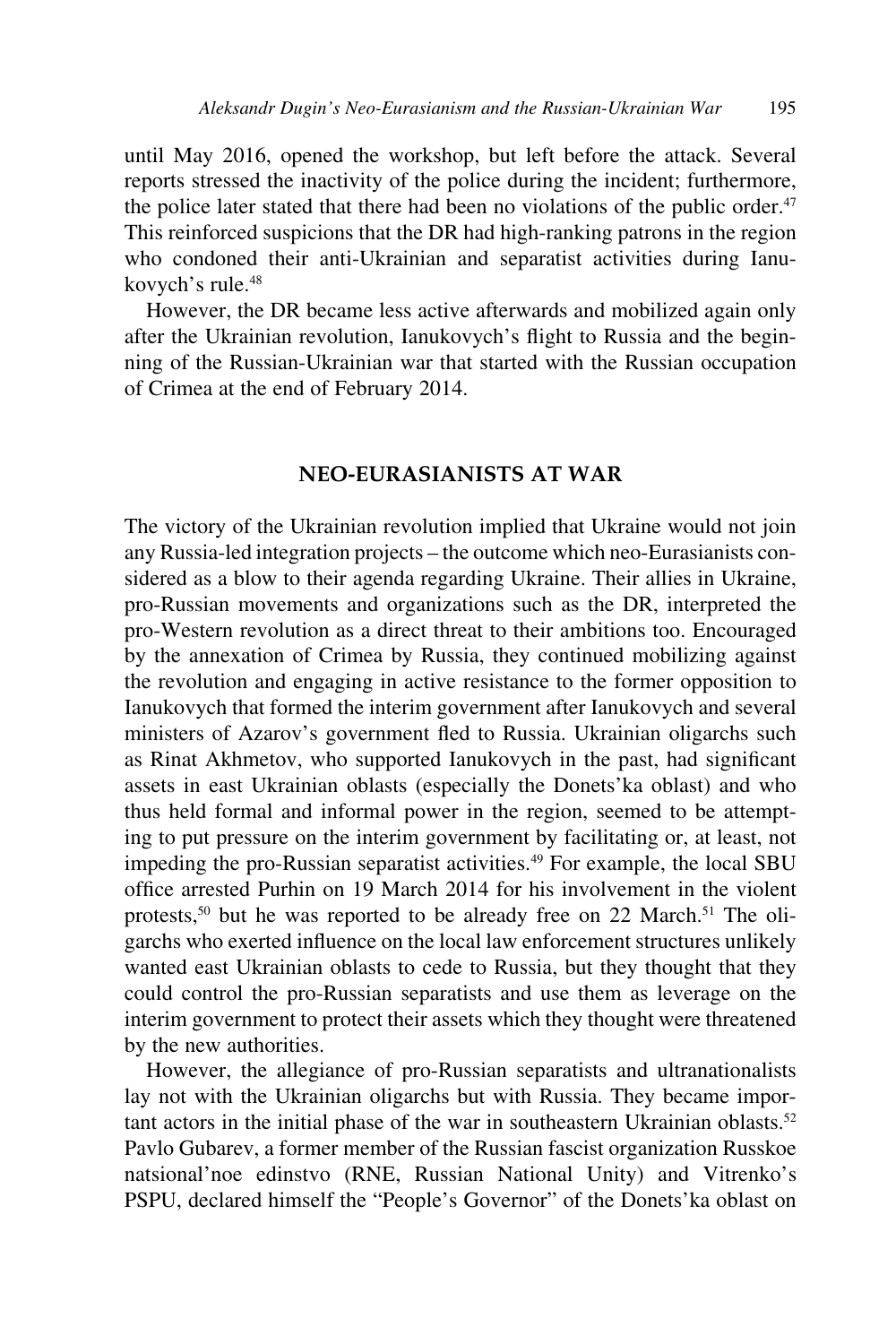until May 2016, opened the workshop, but left before the attack. Several reports stressed the inactivity of the police during the incident; furthermore, the police later stated that there had been no violations of the public order. $47$ This reinforced suspicions that the DR had high-ranking patrons in the region who condoned their anti-Ukrainian and separatist activities during Ianukovych's rule.<sup>48</sup>

However, the DR became less active afterwards and mobilized again only after the Ukrainian revolution, Ianukovych's flight to Russia and the beginning of the Russian-Ukrainian war that started with the Russian occupation of Crimea at the end of February 2014.

### **Neo-Eurasianists at war**

The victory of the Ukrainian revolution implied that Ukraine would not join any Russia-led integration projects – the outcome which neo-Eurasianists considered as a blow to their agenda regarding Ukraine. Their allies in Ukraine, pro-Russian movements and organizations such as the DR, interpreted the pro-Western revolution as a direct threat to their ambitions too. Encouraged by the annexation of Crimea by Russia, they continued mobilizing against the revolution and engaging in active resistance to the former opposition to Ianukovych that formed the interim government after Ianukovych and several ministers of Azarov's government fled to Russia. Ukrainian oligarchs such as Rinat Akhmetov, who supported Ianukovych in the past, had significant assets in east Ukrainian oblasts (especially the Donets'ka oblast) and who thus held formal and informal power in the region, seemed to be attempting to put pressure on the interim government by facilitating or, at least, not impeding the pro-Russian separatist activities.<sup>49</sup> For example, the local SBU office arrested Purhin on 19 March 2014 for his involvement in the violent protests,<sup>50</sup> but he was reported to be already free on 22 March.<sup>51</sup> The oligarchs who exerted influence on the local law enforcement structures unlikely wanted east Ukrainian oblasts to cede to Russia, but they thought that they could control the pro-Russian separatists and use them as leverage on the interim government to protect their assets which they thought were threatened by the new authorities.

However, the allegiance of pro-Russian separatists and ultranationalists lay not with the Ukrainian oligarchs but with Russia. They became important actors in the initial phase of the war in southeastern Ukrainian oblasts.<sup>52</sup> Pavlo Gubarev, a former member of the Russian fascist organization Russkoe natsional'noe edinstvo (RNE, Russian National Unity) and Vitrenko's PSPU, declared himself the "People's Governor" of the Donets'ka oblast on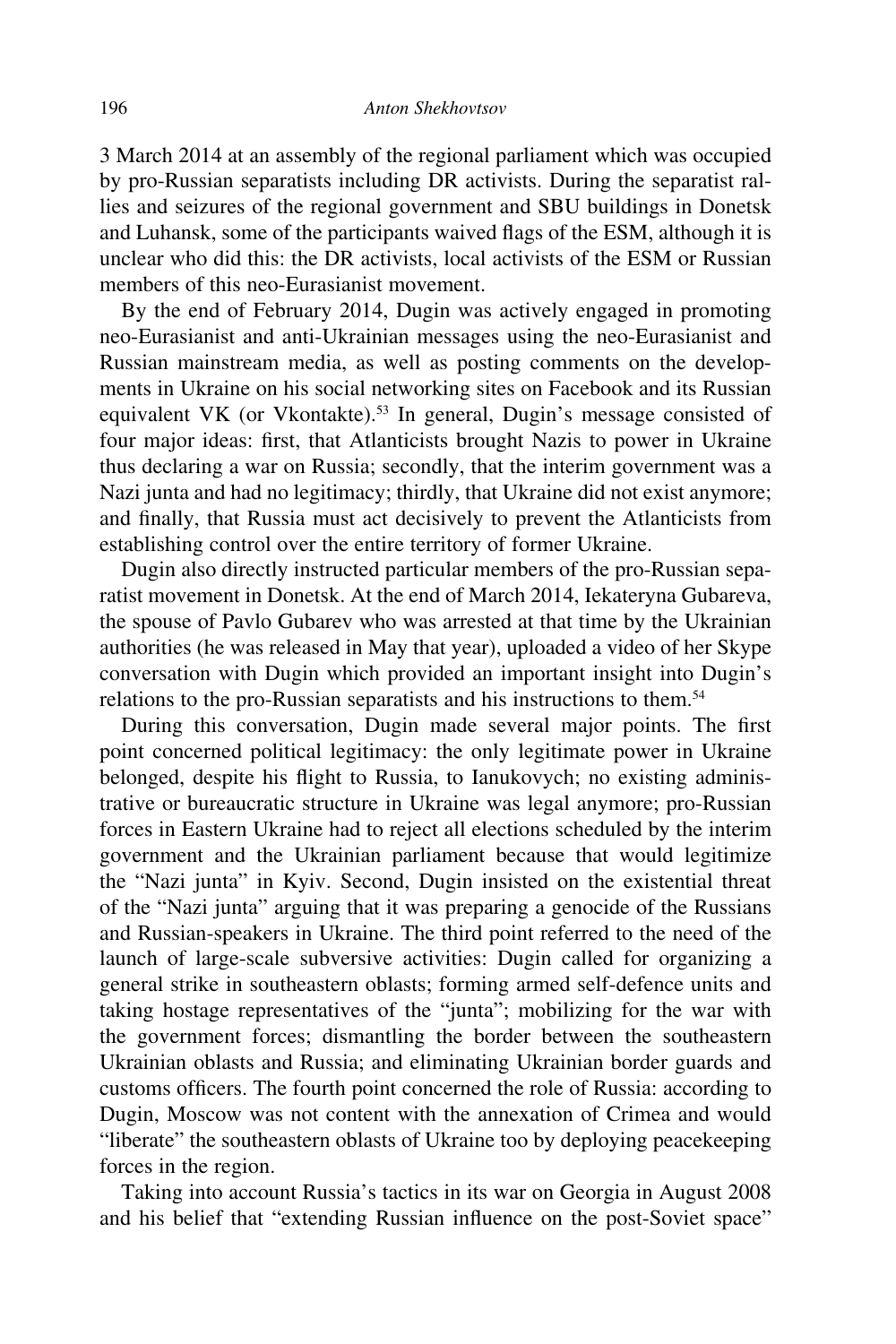3 March 2014 at an assembly of the regional parliament which was occupied by pro-Russian separatists including DR activists. During the separatist rallies and seizures of the regional government and SBU buildings in Donetsk and Luhansk, some of the participants waived flags of the ESM, although it is unclear who did this: the DR activists, local activists of the ESM or Russian members of this neo-Eurasianist movement.

By the end of February 2014, Dugin was actively engaged in promoting neo-Eurasianist and anti-Ukrainian messages using the neo-Eurasianist and Russian mainstream media, as well as posting comments on the developments in Ukraine on his social networking sites on Facebook and its Russian equivalent VK (or Vkontakte).53 In general, Dugin's message consisted of four major ideas: first, that Atlanticists brought Nazis to power in Ukraine thus declaring a war on Russia; secondly, that the interim government was a Nazi junta and had no legitimacy; thirdly, that Ukraine did not exist anymore; and finally, that Russia must act decisively to prevent the Atlanticists from establishing control over the entire territory of former Ukraine.

Dugin also directly instructed particular members of the pro-Russian separatist movement in Donetsk. At the end of March 2014, Iekateryna Gubareva, the spouse of Pavlo Gubarev who was arrested at that time by the Ukrainian authorities (he was released in May that year), uploaded a video of her Skype conversation with Dugin which provided an important insight into Dugin's relations to the pro-Russian separatists and his instructions to them.<sup>54</sup>

During this conversation, Dugin made several major points. The first point concerned political legitimacy: the only legitimate power in Ukraine belonged, despite his flight to Russia, to Ianukovych; no existing administrative or bureaucratic structure in Ukraine was legal anymore; pro-Russian forces in Eastern Ukraine had to reject all elections scheduled by the interim government and the Ukrainian parliament because that would legitimize the "Nazi junta" in Kyiv. Second, Dugin insisted on the existential threat of the "Nazi junta" arguing that it was preparing a genocide of the Russians and Russian-speakers in Ukraine. The third point referred to the need of the launch of large-scale subversive activities: Dugin called for organizing a general strike in southeastern oblasts; forming armed self-defence units and taking hostage representatives of the "junta"; mobilizing for the war with the government forces; dismantling the border between the southeastern Ukrainian oblasts and Russia; and eliminating Ukrainian border guards and customs officers. The fourth point concerned the role of Russia: according to Dugin, Moscow was not content with the annexation of Crimea and would "liberate" the southeastern oblasts of Ukraine too by deploying peacekeeping forces in the region.

Taking into account Russia's tactics in its war on Georgia in August 2008 and his belief that "extending Russian influence on the post-Soviet space"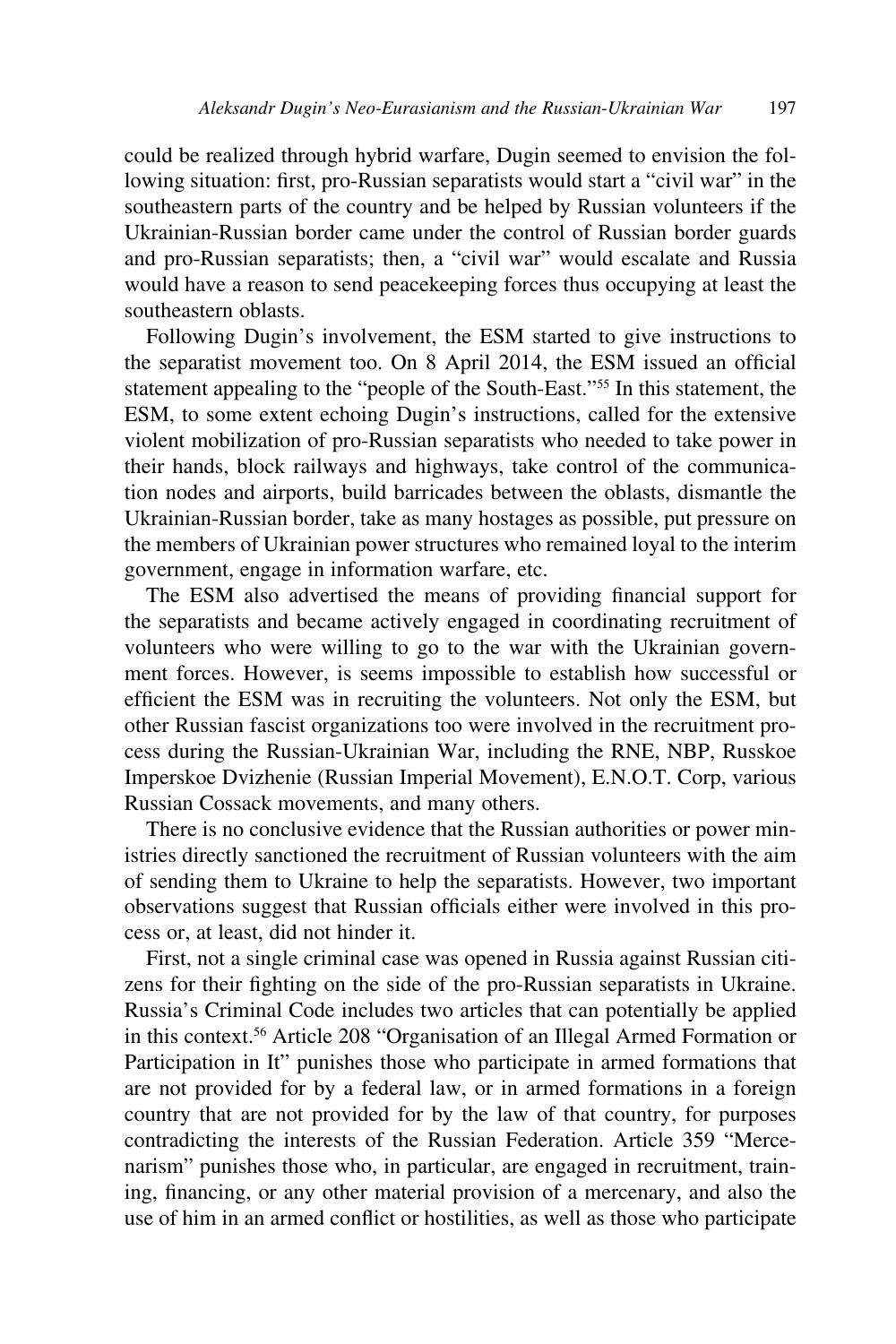could be realized through hybrid warfare, Dugin seemed to envision the following situation: first, pro-Russian separatists would start a "civil war" in the southeastern parts of the country and be helped by Russian volunteers if the Ukrainian-Russian border came under the control of Russian border guards and pro-Russian separatists; then, a "civil war" would escalate and Russia would have a reason to send peacekeeping forces thus occupying at least the southeastern oblasts.

Following Dugin's involvement, the ESM started to give instructions to the separatist movement too. On 8 April 2014, the ESM issued an official statement appealing to the "people of the South-East."55 In this statement, the ESM, to some extent echoing Dugin's instructions, called for the extensive violent mobilization of pro-Russian separatists who needed to take power in their hands, block railways and highways, take control of the communication nodes and airports, build barricades between the oblasts, dismantle the Ukrainian-Russian border, take as many hostages as possible, put pressure on the members of Ukrainian power structures who remained loyal to the interim government, engage in information warfare, etc.

The ESM also advertised the means of providing financial support for the separatists and became actively engaged in coordinating recruitment of volunteers who were willing to go to the war with the Ukrainian government forces. However, is seems impossible to establish how successful or efficient the ESM was in recruiting the volunteers. Not only the ESM, but other Russian fascist organizations too were involved in the recruitment process during the Russian-Ukrainian War, including the RNE, NBP, Russkoe Imperskoe Dvizhenie (Russian Imperial Movement), E.N.O.T. Corp, various Russian Cossack movements, and many others.

There is no conclusive evidence that the Russian authorities or power ministries directly sanctioned the recruitment of Russian volunteers with the aim of sending them to Ukraine to help the separatists. However, two important observations suggest that Russian officials either were involved in this process or, at least, did not hinder it.

First, not a single criminal case was opened in Russia against Russian citizens for their fighting on the side of the pro-Russian separatists in Ukraine. Russia's Criminal Code includes two articles that can potentially be applied in this context.56 Article 208 "Organisation of an Illegal Armed Formation or Participation in It" punishes those who participate in armed formations that are not provided for by a federal law, or in armed formations in a foreign country that are not provided for by the law of that country, for purposes contradicting the interests of the Russian Federation. Article 359 "Mercenarism" punishes those who, in particular, are engaged in recruitment, training, financing, or any other material provision of a mercenary, and also the use of him in an armed conflict or hostilities, as well as those who participate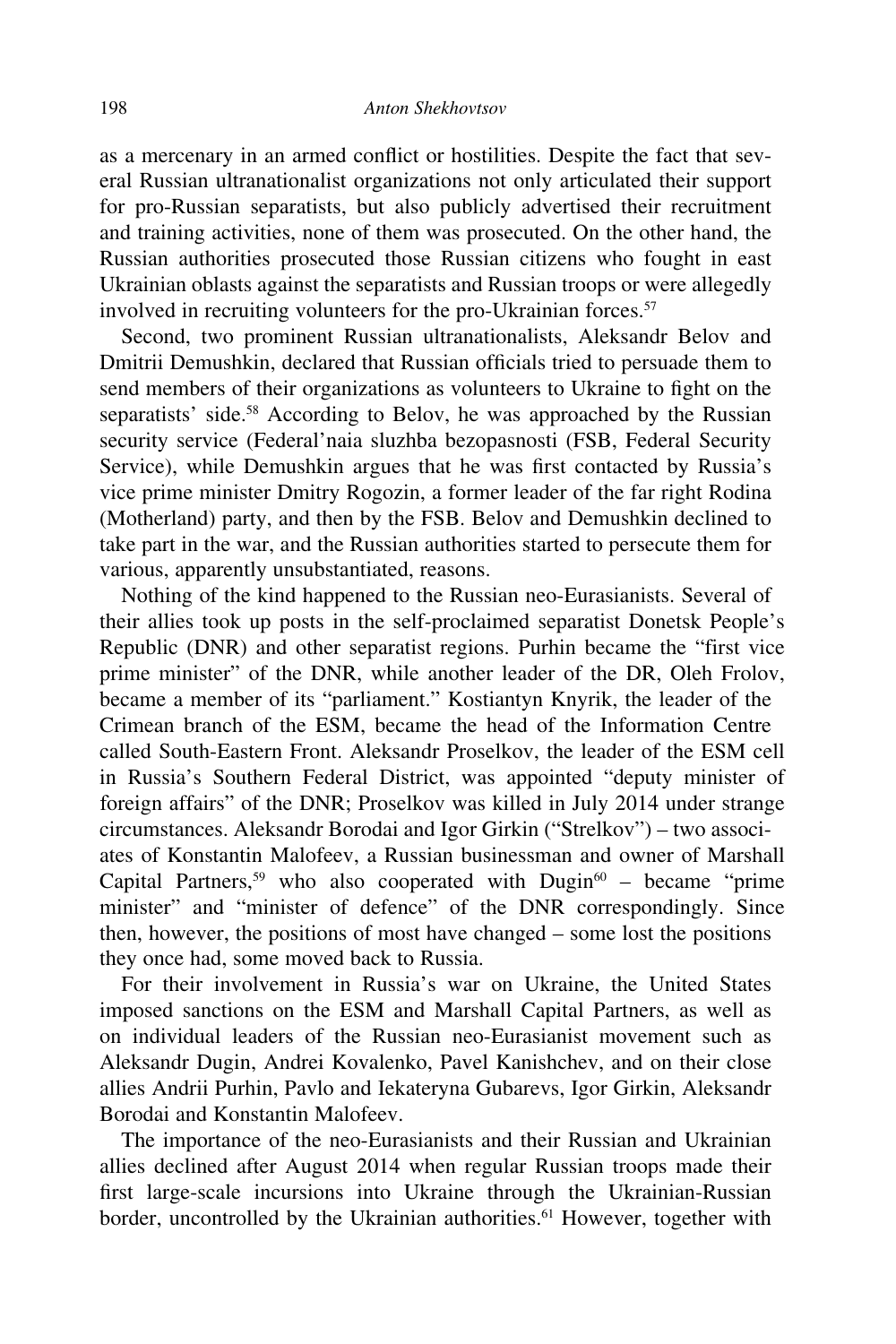as a mercenary in an armed conflict or hostilities. Despite the fact that several Russian ultranationalist organizations not only articulated their support for pro-Russian separatists, but also publicly advertised their recruitment and training activities, none of them was prosecuted. On the other hand, the Russian authorities prosecuted those Russian citizens who fought in east Ukrainian oblasts against the separatists and Russian troops or were allegedly involved in recruiting volunteers for the pro-Ukrainian forces.<sup>57</sup>

Second, two prominent Russian ultranationalists, Aleksandr Belov and Dmitrii Demushkin, declared that Russian officials tried to persuade them to send members of their organizations as volunteers to Ukraine to fight on the separatists' side.<sup>58</sup> According to Belov, he was approached by the Russian security service (Federal'naia sluzhba bezopasnosti (FSB, Federal Security Service), while Demushkin argues that he was first contacted by Russia's vice prime minister Dmitry Rogozin, a former leader of the far right Rodina (Motherland) party, and then by the FSB. Belov and Demushkin declined to take part in the war, and the Russian authorities started to persecute them for various, apparently unsubstantiated, reasons.

Nothing of the kind happened to the Russian neo-Eurasianists. Several of their allies took up posts in the self-proclaimed separatist Donetsk People's Republic (DNR) and other separatist regions. Purhin became the "first vice prime minister" of the DNR, while another leader of the DR, Oleh Frolov, became a member of its "parliament." Kostiantyn Knyrik, the leader of the Crimean branch of the ESM, became the head of the Information Centre called South-Eastern Front. Aleksandr Proselkov, the leader of the ESM cell in Russia's Southern Federal District, was appointed "deputy minister of foreign affairs" of the DNR; Proselkov was killed in July 2014 under strange circumstances. Aleksandr Borodai and Igor Girkin ("Strelkov") – two associates of Konstantin Malofeev, a Russian businessman and owner of Marshall Capital Partners,<sup>59</sup> who also cooperated with Dugin<sup>60</sup> – became "prime" minister" and "minister of defence" of the DNR correspondingly. Since then, however, the positions of most have changed – some lost the positions they once had, some moved back to Russia.

For their involvement in Russia's war on Ukraine, the United States imposed sanctions on the ESM and Marshall Capital Partners, as well as on individual leaders of the Russian neo-Eurasianist movement such as Aleksandr Dugin, Andrei Kovalenko, Pavel Kanishchev, and on their close allies Andrii Purhin, Pavlo and Iekateryna Gubarevs, Igor Girkin, Aleksandr Borodai and Konstantin Malofeev.

The importance of the neo-Eurasianists and their Russian and Ukrainian allies declined after August 2014 when regular Russian troops made their first large-scale incursions into Ukraine through the Ukrainian-Russian border, uncontrolled by the Ukrainian authorities.<sup>61</sup> However, together with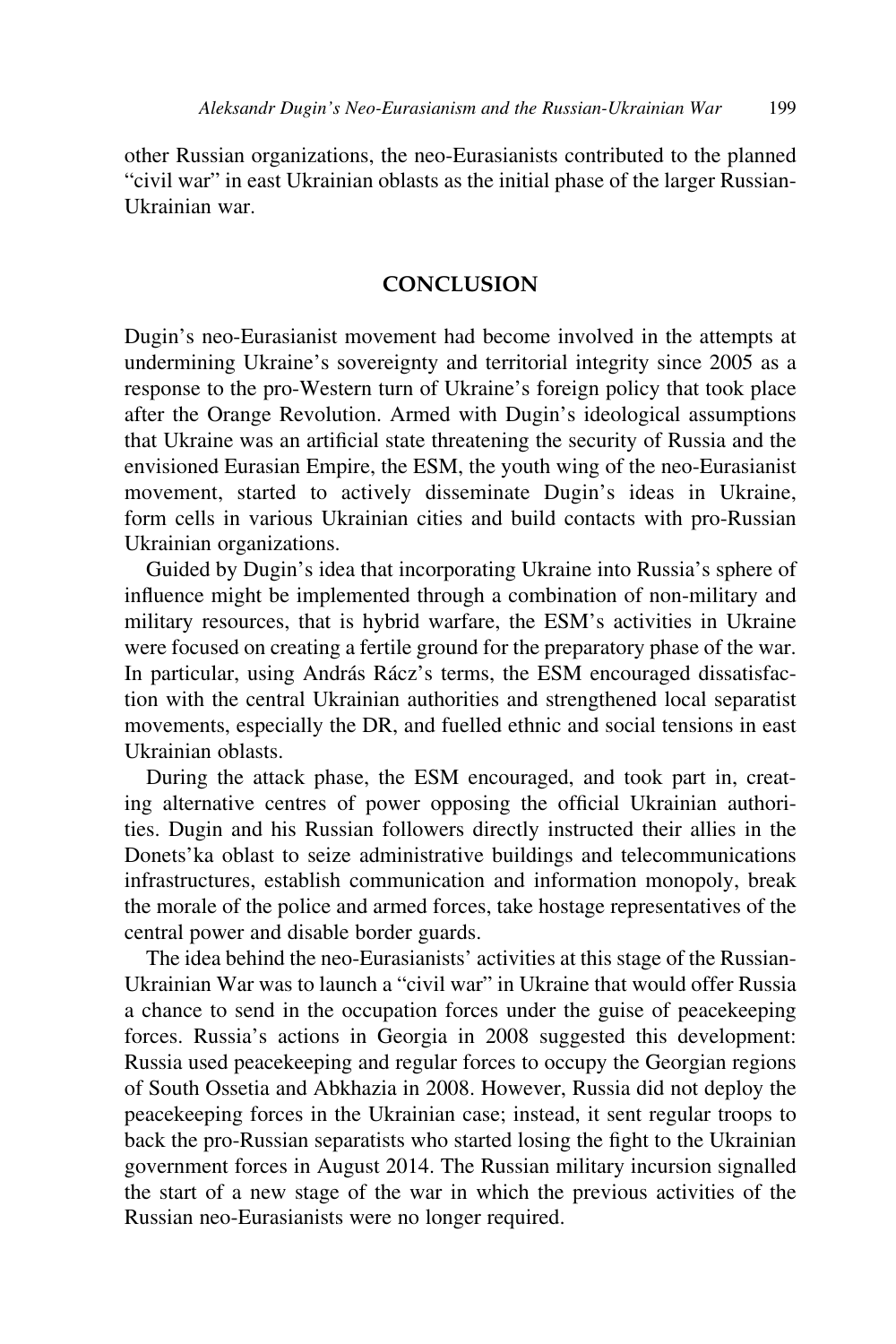other Russian organizations, the neo-Eurasianists contributed to the planned "civil war" in east Ukrainian oblasts as the initial phase of the larger Russian-Ukrainian war.

#### **Conclusion**

Dugin's neo-Eurasianist movement had become involved in the attempts at undermining Ukraine's sovereignty and territorial integrity since 2005 as a response to the pro-Western turn of Ukraine's foreign policy that took place after the Orange Revolution. Armed with Dugin's ideological assumptions that Ukraine was an artificial state threatening the security of Russia and the envisioned Eurasian Empire, the ESM, the youth wing of the neo-Eurasianist movement, started to actively disseminate Dugin's ideas in Ukraine, form cells in various Ukrainian cities and build contacts with pro-Russian Ukrainian organizations.

Guided by Dugin's idea that incorporating Ukraine into Russia's sphere of influence might be implemented through a combination of non-military and military resources, that is hybrid warfare, the ESM's activities in Ukraine were focused on creating a fertile ground for the preparatory phase of the war. In particular, using András Rácz's terms, the ESM encouraged dissatisfaction with the central Ukrainian authorities and strengthened local separatist movements, especially the DR, and fuelled ethnic and social tensions in east Ukrainian oblasts.

During the attack phase, the ESM encouraged, and took part in, creating alternative centres of power opposing the official Ukrainian authorities. Dugin and his Russian followers directly instructed their allies in the Donets'ka oblast to seize administrative buildings and telecommunications infrastructures, establish communication and information monopoly, break the morale of the police and armed forces, take hostage representatives of the central power and disable border guards.

The idea behind the neo-Eurasianists' activities at this stage of the Russian-Ukrainian War was to launch a "civil war" in Ukraine that would offer Russia a chance to send in the occupation forces under the guise of peacekeeping forces. Russia's actions in Georgia in 2008 suggested this development: Russia used peacekeeping and regular forces to occupy the Georgian regions of South Ossetia and Abkhazia in 2008. However, Russia did not deploy the peacekeeping forces in the Ukrainian case; instead, it sent regular troops to back the pro-Russian separatists who started losing the fight to the Ukrainian government forces in August 2014. The Russian military incursion signalled the start of a new stage of the war in which the previous activities of the Russian neo-Eurasianists were no longer required.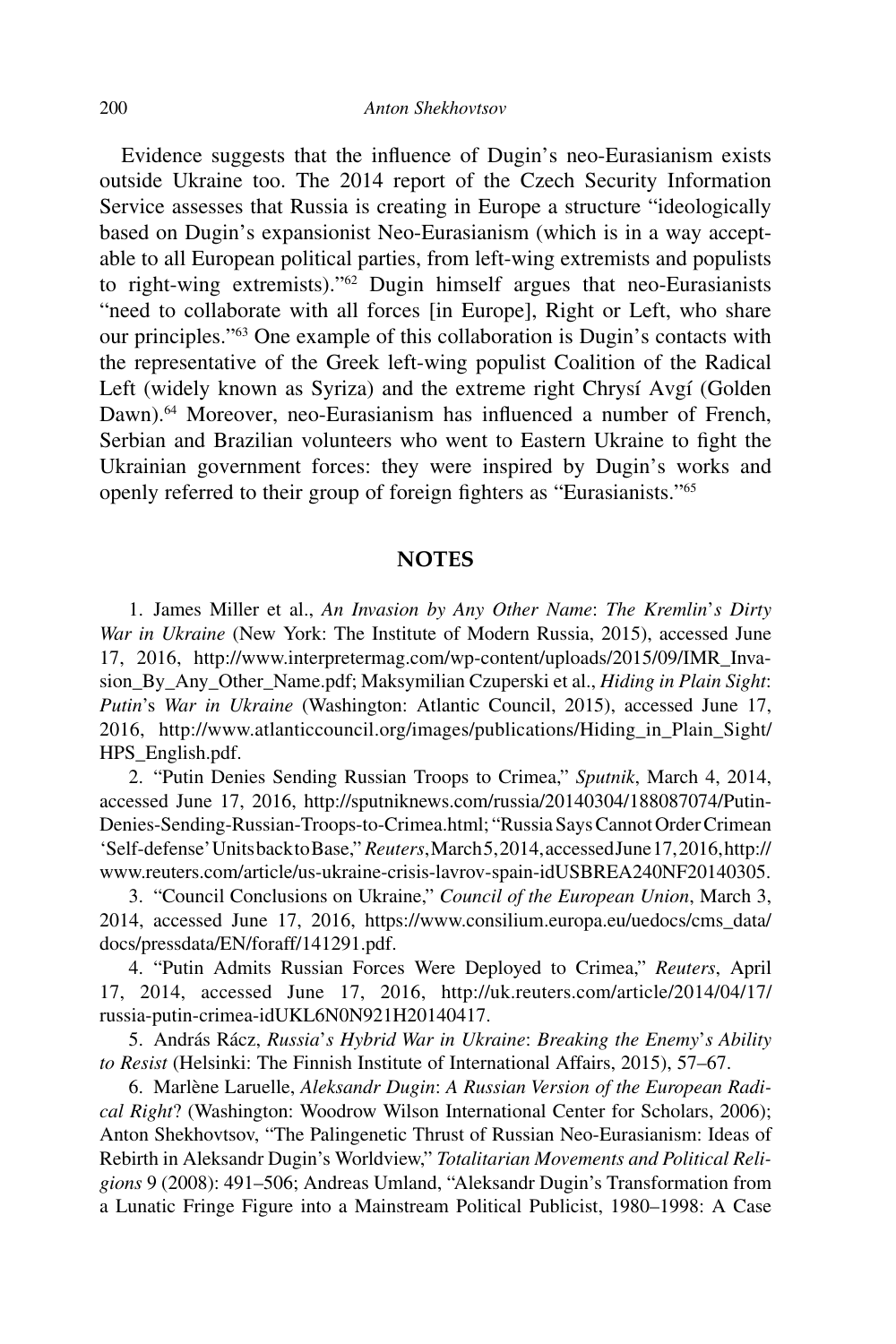Evidence suggests that the influence of Dugin's neo-Eurasianism exists outside Ukraine too. The 2014 report of the Czech Security Information Service assesses that Russia is creating in Europe a structure "ideologically based on Dugin's expansionist Neo-Eurasianism (which is in a way acceptable to all European political parties, from left-wing extremists and populists to right-wing extremists)."62 Dugin himself argues that neo-Eurasianists "need to collaborate with all forces [in Europe], Right or Left, who share our principles."63 One example of this collaboration is Dugin's contacts with the representative of the Greek left-wing populist Coalition of the Radical Left (widely known as Syriza) and the extreme right Chrysí Avgí (Golden Dawn).<sup>64</sup> Moreover, neo-Eurasianism has influenced a number of French, Serbian and Brazilian volunteers who went to Eastern Ukraine to fight the Ukrainian government forces: they were inspired by Dugin's works and openly referred to their group of foreign fighters as "Eurasianists."65

#### **NOTES**

1. James Miller et al., *An Invasion by Any Other Name*: *The Kremlin*'*s Dirty War in Ukraine* (New York: The Institute of Modern Russia, 2015), accessed June 17, 2016, http://www.interpretermag.com/wp-content/uploads/2015/09/IMR\_Invasion\_By\_Any\_Other\_Name.pdf; Maksymilian Czuperski et al., *Hiding in Plain Sight*: *Putin*'s *War in Ukraine* (Washington: Atlantic Council, 2015), accessed June 17, 2016, http://www.atlanticcouncil.org/images/publications/Hiding\_in\_Plain\_Sight/ HPS\_English.pdf.

2. "Putin Denies Sending Russian Troops to Crimea," *Sputnik*, March 4, 2014, accessed June 17, 2016, http://sputniknews.com/russia/20140304/188087074/Putin-Denies-Sending-Russian-Troops-to-Crimea.html; "Russia Says Cannot Order Crimean 'Self-defense' Units back to Base," *Reuters*, March 5, 2014, accessed June 17, 2016, http:// www.reuters.com/article/us-ukraine-crisis-lavrov-spain-idUSBREA240NF20140305.

3. "Council Conclusions on Ukraine," *Council of the European Union*, March 3, 2014, accessed June 17, 2016, https://www.consilium.europa.eu/uedocs/cms\_data/ docs/pressdata/EN/foraff/141291.pdf.

4. "Putin Admits Russian Forces Were Deployed to Crimea," *Reuters*, April 17, 2014, accessed June 17, 2016, http://uk.reuters.com/article/2014/04/17/ russia-putin-crimea-idUKL6N0N921H20140417.

5. András Rácz, *Russia*'*s Hybrid War in Ukraine*: *Breaking the Enemy*'*s Ability to Resist* (Helsinki: The Finnish Institute of International Affairs, 2015), 57–67.

6. Marlène Laruelle, *Aleksandr Dugin*: *A Russian Version of the European Radical Right*? (Washington: Woodrow Wilson International Center for Scholars, 2006); Anton Shekhovtsov, "The Palingenetic Thrust of Russian Neo-Eurasianism: Ideas of Rebirth in Aleksandr Dugin's Worldview," *Totalitarian Movements and Political Religions* 9 (2008): 491–506; Andreas Umland, "Aleksandr Dugin's Transformation from a Lunatic Fringe Figure into a Mainstream Political Publicist, 1980–1998: A Case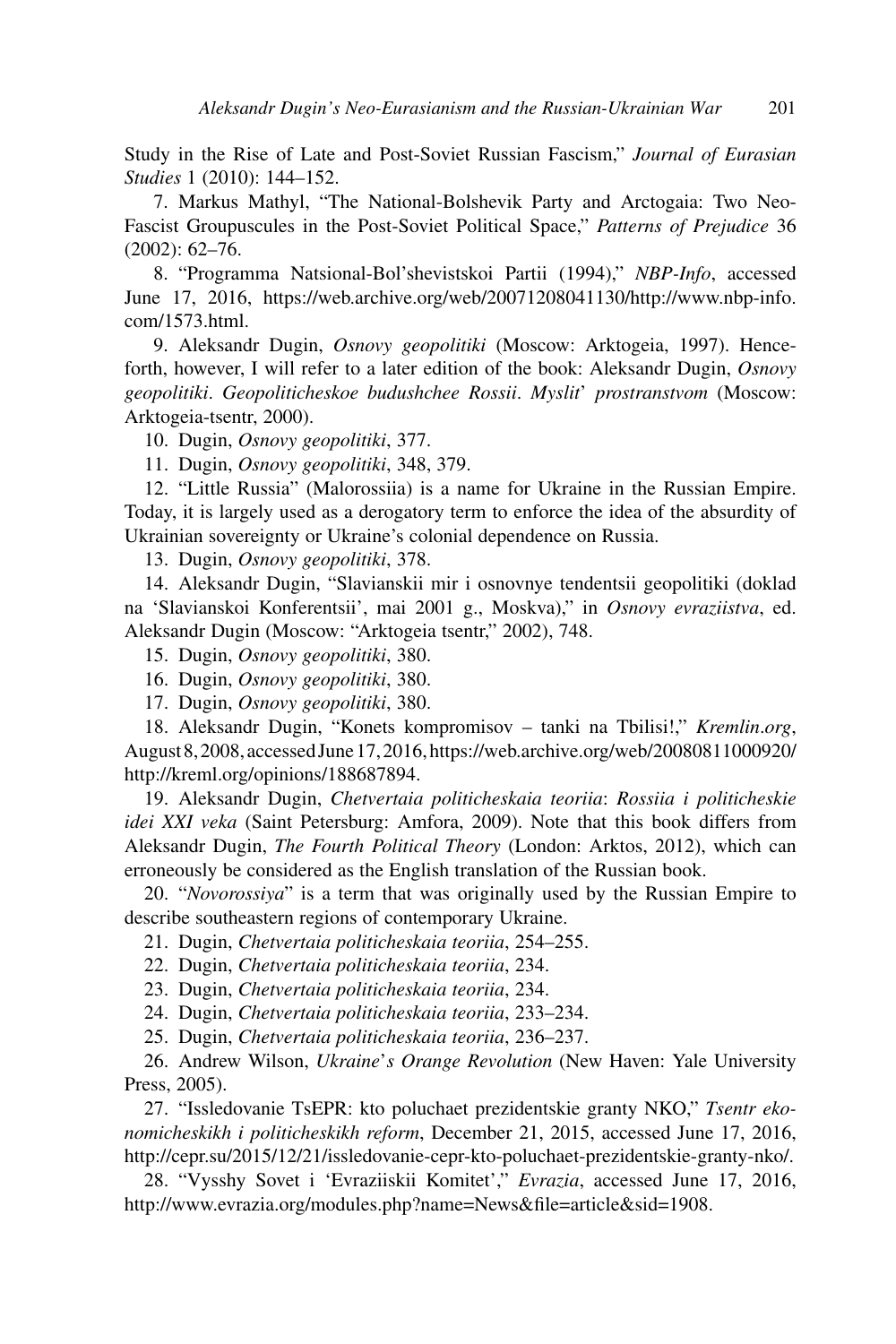Study in the Rise of Late and Post-Soviet Russian Fascism," *Journal of Eurasian Studies* 1 (2010): 144–152.

7. Markus Mathyl, "The National-Bolshevik Party and Arctogaia: Two Neo-Fascist Groupuscules in the Post-Soviet Political Space," *Patterns of Prejudice* 36 (2002): 62–76.

8. "Programma Natsional-Bol'shevistskoi Partii (1994)," *NBP-Info*, accessed June 17, 2016, https://web.archive.org/web/20071208041130/http://www.nbp-info. com/1573.html.

9. Aleksandr Dugin, *Osnovy geopolitiki* (Moscow: Arktogeia, 1997). Henceforth, however, I will refer to a later edition of the book: Aleksandr Dugin, *Osnovy geopolitiki*. *Geopoliticheskoe budushchee Rossii*. *Myslit*' *prostranstvom* (Moscow: Arktogeia-tsentr, 2000).

10. Dugin, *Osnovy geopolitiki*, 377.

11. Dugin, *Osnovy geopolitiki*, 348, 379.

12. "Little Russia" (Malorossiia) is a name for Ukraine in the Russian Empire. Today, it is largely used as a derogatory term to enforce the idea of the absurdity of Ukrainian sovereignty or Ukraine's colonial dependence on Russia.

13. Dugin, *Osnovy geopolitiki*, 378.

14. Aleksandr Dugin, "Slavianskii mir i osnovnye tendentsii geopolitiki (doklad na 'Slavianskoi Konferentsii', mai 2001 g., Moskva)," in *Osnovy evraziistva*, ed. Aleksandr Dugin (Moscow: "Arktogeia tsentr," 2002), 748.

15. Dugin, *Osnovy geopolitiki*, 380.

16. Dugin, *Osnovy geopolitiki*, 380.

17. Dugin, *Osnovy geopolitiki*, 380.

18. Aleksandr Dugin, "Konets kompromisov – tanki na Tbilisi!," *Kremlin*.*org*, August 8, 2008, accessed June 17, 2016, https://web.archive.org/web/20080811000920/ http://kreml.org/opinions/188687894.

19. Aleksandr Dugin, *Chetvertaia politicheskaia teoriia*: *Rossiia i politicheskie idei XXI veka* (Saint Petersburg: Amfora, 2009). Note that this book differs from Aleksandr Dugin, *The Fourth Political Theory* (London: Arktos, 2012), which can erroneously be considered as the English translation of the Russian book.

20. "*Novorossiya*" is a term that was originally used by the Russian Empire to describe southeastern regions of contemporary Ukraine.

21. Dugin, *Chetvertaia politicheskaia teoriia*, 254–255.

22. Dugin, *Chetvertaia politicheskaia teoriia*, 234.

23. Dugin, *Chetvertaia politicheskaia teoriia*, 234.

24. Dugin, *Chetvertaia politicheskaia teoriia*, 233–234.

25. Dugin, *Chetvertaia politicheskaia teoriia*, 236–237.

26. Andrew Wilson, *Ukraine*'*s Orange Revolution* (New Haven: Yale University Press, 2005).

27. "Issledovanie TsEPR: kto poluchaet prezidentskie granty NKO," *Tsentr ekonomicheskikh i politicheskikh reform*, December 21, 2015, accessed June 17, 2016, http://cepr.su/2015/12/21/issledovanie-cepr-kto-poluchaet-prezidentskie-granty-nko/.

28. "Vysshy Sovet i 'Evraziiskii Komitet'," *Evrazia*, accessed June 17, 2016, http://www.evrazia.org/modules.php?name=News&file=article&sid=1908.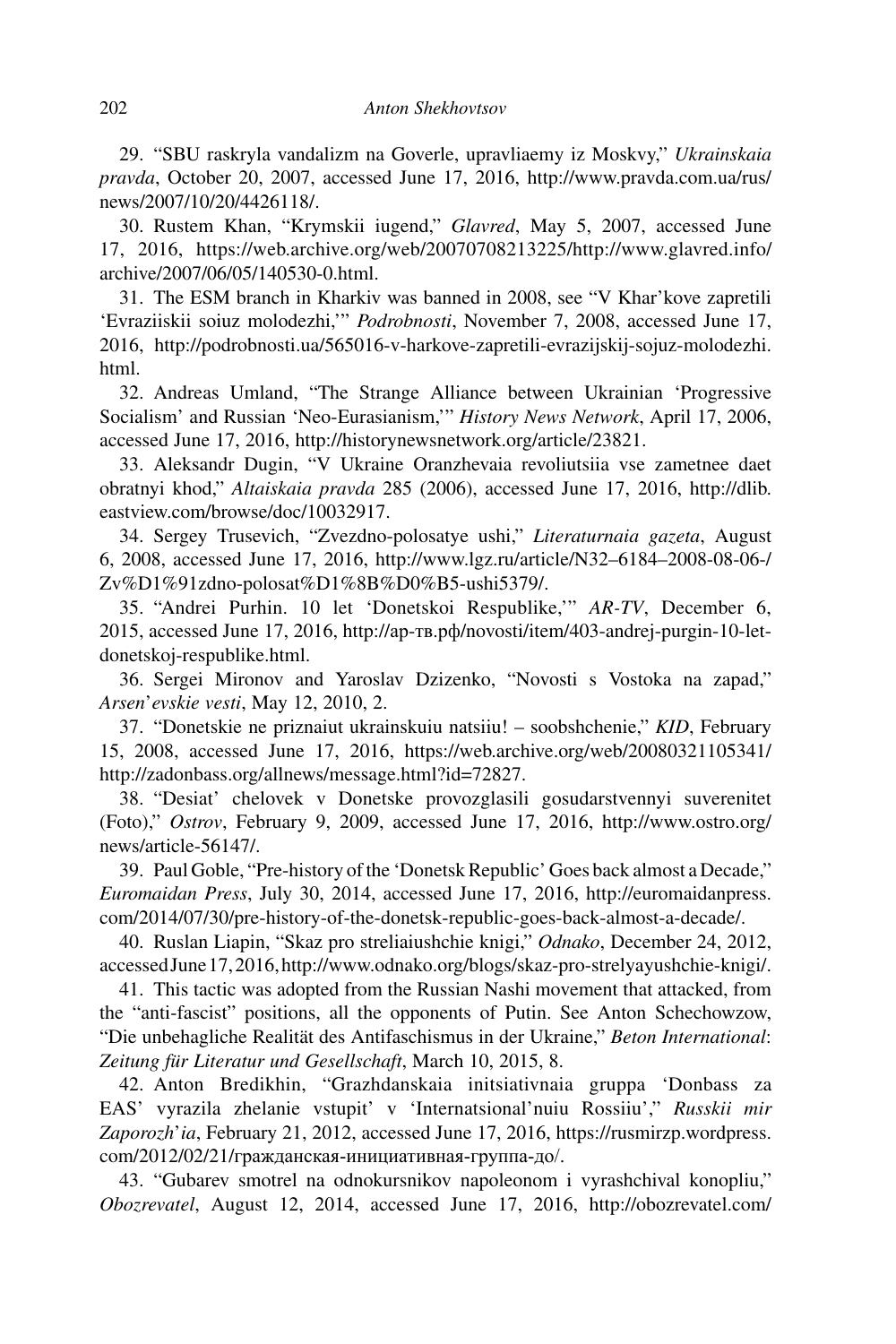29. "SBU raskryla vandalizm na Goverle, upravliaemy iz Moskvy," *Ukrainskaia pravda*, October 20, 2007, accessed June 17, 2016, http://www.pravda.com.ua/rus/ news/2007/10/20/4426118/.

30. Rustem Khan, "Krymskii iugend," *Glavred*, May 5, 2007, accessed June 17, 2016, https://web.archive.org/web/20070708213225/http://www.glavred.info/ archive/2007/06/05/140530-0.html.

31. The ESM branch in Kharkiv was banned in 2008, see "V Khar'kove zapretili 'Evraziiskii soiuz molodezhi,'" *Podrobnosti*, November 7, 2008, accessed June 17, 2016, http://podrobnosti.ua/565016-v-harkove-zapretili-evrazijskij-sojuz-molodezhi. html.

32. Andreas Umland, "The Strange Alliance between Ukrainian 'Progressive Socialism' and Russian 'Neo-Eurasianism,'" *History News Network*, April 17, 2006, accessed June 17, 2016, http://historynewsnetwork.org/article/23821.

33. Aleksandr Dugin, "V Ukraine Oranzhevaia revoliutsiia vse zametnee daet obratnyi khod," *Altaiskaia pravda* 285 (2006), accessed June 17, 2016, http://dlib. eastview.com/browse/doc/10032917.

34. Sergey Trusevich, "Zvezdno-polosatye ushi," *Literaturnaia gazeta*, August 6, 2008, accessed June 17, 2016, http://www.lgz.ru/article/N32–6184–2008-08-06-/ Zv%D1%91zdno-polosat%D1%8B%D0%B5-ushi5379/.

35. "Andrei Purhin. 10 let 'Donetskoi Respublike,'" *AR-TV*, December 6, 2015, accessed June 17, 2016, http://ар-тв.рф/novosti/item/403-andrej-purgin-10-letdonetskoj-respublike.html.

36. Sergei Mironov and Yaroslav Dzizenko, "Novosti s Vostoka na zapad," *Arsen*'*evskie vesti*, May 12, 2010, 2.

37. "Donetskie ne priznaiut ukrainskuiu natsiiu! – soobshchenie," *KID*, February 15, 2008, accessed June 17, 2016, https://web.archive.org/web/20080321105341/ http://zadonbass.org/allnews/message.html?id=72827.

38. "Desiat' chelovek v Donetske provozglasili gosudarstvennyi suverenitet (Foto)," *Ostrov*, February 9, 2009, accessed June 17, 2016, http://www.ostro.org/ news/article-56147/.

39. Paul Goble, "Pre-history of the 'Donetsk Republic' Goes back almost a Decade," *Euromaidan Press*, July 30, 2014, accessed June 17, 2016, http://euromaidanpress. com/2014/07/30/pre-history-of-the-donetsk-republic-goes-back-almost-a-decade/.

40. Ruslan Liapin, "Skaz pro streliaiushchie knigi," *Odnako*, December 24, 2012, accessed June 17, 2016, http://www.odnako.org/blogs/skaz-pro-strelyayushchie-knigi/.

41. This tactic was adopted from the Russian Nashi movement that attacked, from the "anti-fascist" positions, all the opponents of Putin. See Anton Schechowzow, "Die unbehagliche Realität des Antifaschismus in der Ukraine," *Beton International*: *Zeitung für Literatur und Gesellschaft*, March 10, 2015, 8.

42. Anton Bredikhin, "Grazhdanskaia initsiativnaia gruppa 'Donbass za EAS' vyrazila zhelanie vstupit' v 'Internatsional'nuiu Rossiiu'," *Russkii mir Zaporozh*'*ia*, February 21, 2012, accessed June 17, 2016, https://rusmirzp.wordpress. com/2012/02/21/гражданская-инициативная-группа-до/.

43. "Gubarev smotrel na odnokursnikov napoleonom i vyrashchival konopliu," *Obozrevatel*, August 12, 2014, accessed June 17, 2016, http://obozrevatel.com/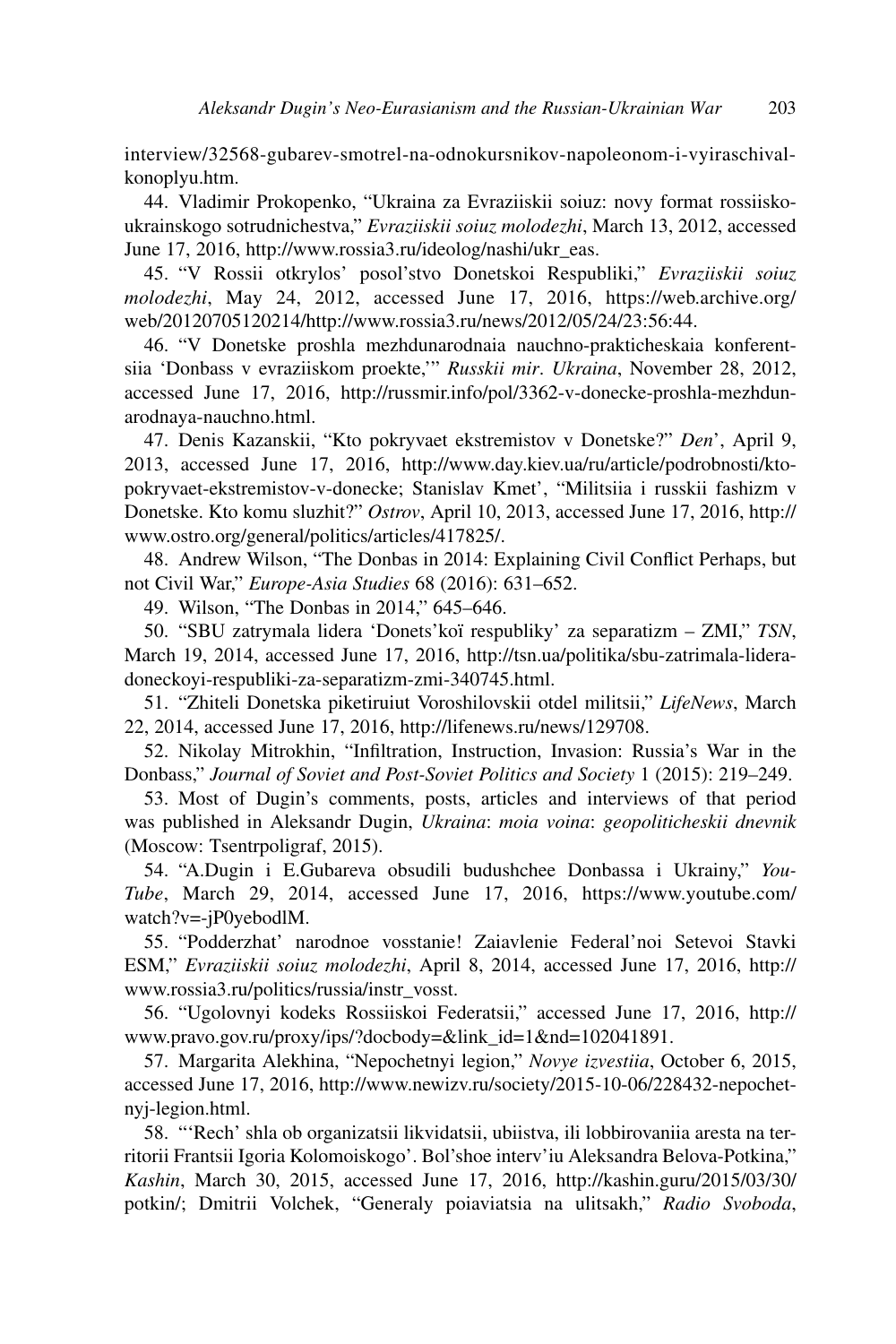interview/32568-gubarev-smotrel-na-odnokursnikov-napoleonom-i-vyiraschivalkonoplyu.htm.

44. Vladimir Prokopenko, "Ukraina za Evraziiskii soiuz: novy format rossiiskoukrainskogo sotrudnichestva," *Evraziiskii soiuz molodezhi*, March 13, 2012, accessed June 17, 2016, http://www.rossia3.ru/ideolog/nashi/ukr\_eas.

45. "V Rossii otkrylos' posol'stvo Donetskoi Respubliki," *Evraziiskii soiuz molodezhi*, May 24, 2012, accessed June 17, 2016, https://web.archive.org/ web/20120705120214/http://www.rossia3.ru/news/2012/05/24/23:56:44.

46. "V Donetske proshla mezhdunarodnaia nauchno-prakticheskaia konferentsiia 'Donbass v evraziiskom proekte,'" *Russkii mir*. *Ukraina*, November 28, 2012, accessed June 17, 2016, http://russmir.info/pol/3362-v-donecke-proshla-mezhdunarodnaya-nauchno.html.

47. Denis Kazanskii, "Kto pokryvaet ekstremistov v Donetske?" *Den*', April 9, 2013, accessed June 17, 2016, http://www.day.kiev.ua/ru/article/podrobnosti/ktopokryvaet-ekstremistov-v-donecke; Stanislav Kmet', "Militsiia i russkii fashizm v Donetske. Kto komu sluzhit?" *Ostrov*, April 10, 2013, accessed June 17, 2016, http:// www.ostro.org/general/politics/articles/417825/.

48. Andrew Wilson, "The Donbas in 2014: Explaining Civil Conflict Perhaps, but not Civil War," *Europe-Asia Studies* 68 (2016): 631–652.

49. Wilson, "The Donbas in 2014," 645–646.

50. "SBU zatrymala lidera 'Donets'koї respubliky' za separatizm – ZMI," *TSN*, March 19, 2014, accessed June 17, 2016, http://tsn.ua/politika/sbu-zatrimala-lideradoneckoyi-respubliki-za-separatizm-zmi-340745.html.

51. "Zhiteli Donetska piketiruiut Voroshilovskii otdel militsii," *LifeNews*, March 22, 2014, accessed June 17, 2016, http://lifenews.ru/news/129708.

52. Nikolay Mitrokhin, "Infiltration, Instruction, Invasion: Russia's War in the Donbass," *Journal of Soviet and Post-Soviet Politics and Society* 1 (2015): 219–249.

53. Most of Dugin's comments, posts, articles and interviews of that period was published in Aleksandr Dugin, *Ukraina*: *moia voina*: *geopoliticheskii dnevnik* (Moscow: Tsentrpoligraf, 2015).

54. "A.Dugin i E.Gubareva obsudili budushchee Donbassa i Ukrainy," *You-Tube*, March 29, 2014, accessed June 17, 2016, https://www.youtube.com/ watch?v=-jP0yebodlM.

55. "Podderzhat' narodnoe vosstanie! Zaiavlenie Federal'noi Setevoi Stavki ESM," *Evraziiskii soiuz molodezhi*, April 8, 2014, accessed June 17, 2016, http:// www.rossia3.ru/politics/russia/instr\_vosst.

56. "Ugolovnyi kodeks Rossiiskoi Federatsii," accessed June 17, 2016, http:// www.pravo.gov.ru/proxy/ips/?docbody=&link\_id=1&nd=102041891.

57. Margarita Alekhina, "Nepochetnyi legion," *Novye izvestiia*, October 6, 2015, accessed June 17, 2016, http://www.newizv.ru/society/2015-10-06/228432-nepochetnyj-legion.html.

58. "'Rech' shla ob organizatsii likvidatsii, ubiistva, ili lobbirovaniia aresta na territorii Frantsii Igoria Kolomoiskogo'. Bol'shoe interv'iu Aleksandra Belova-Potkina," *Kashin*, March 30, 2015, accessed June 17, 2016, http://kashin.guru/2015/03/30/ potkin/; Dmitrii Volchek, "Generaly poiaviatsia na ulitsakh," *Radio Svoboda*,